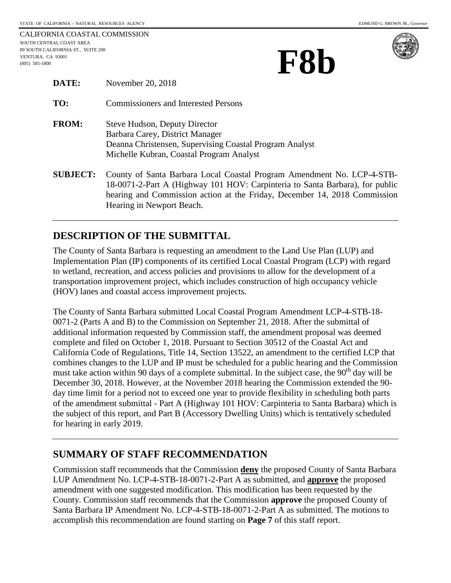CALIFORNIA COASTAL COMMISSION SOUTH CENTRAL COAST AREA 89 SOUTH CALIFORNIA ST., SUITE 200 VENTURA, CA 93001 89 SOUTH CALIFORNIA ST., SUITE 200<br>VENTURA, CA 93001<br>(805) 585-1800<br>**FRB** 

| $\blacktriangleleft$ | $\mathbf{M}$<br>D                            |            |
|----------------------|----------------------------------------------|------------|
|                      | $\blacktriangle$ )<br>$\blacktriangledown$ ) | <b>A</b> J |
|                      |                                              |            |



| DATE:            | November 20, 2018                                                                                                                                                       |
|------------------|-------------------------------------------------------------------------------------------------------------------------------------------------------------------------|
| TO:              | <b>Commissioners and Interested Persons</b>                                                                                                                             |
| <b>FROM:</b>     | Steve Hudson, Deputy Director<br>Barbara Carey, District Manager<br>Deanna Christensen, Supervising Coastal Program Analyst<br>Michelle Kubran, Coastal Program Analyst |
| $C$ lid i $C$ T. | County of Canta Darbara Local Coastal Drogram Amondment No.                                                                                                             |

**SUBJECT:** County of Santa Barbara Local Coastal Program Amendment No. LCP-4-STB-18-0071-2-Part A (Highway 101 HOV: Carpinteria to Santa Barbara), for public hearing and Commission action at the Friday, December 14, 2018 Commission Hearing in Newport Beach.

# **DESCRIPTION OF THE SUBMITTAL**

The County of Santa Barbara is requesting an amendment to the Land Use Plan (LUP) and Implementation Plan (IP) components of its certified Local Coastal Program (LCP) with regard to wetland, recreation, and access policies and provisions to allow for the development of a transportation improvement project, which includes construction of high occupancy vehicle (HOV) lanes and coastal access improvement projects.

The County of Santa Barbara submitted Local Coastal Program Amendment LCP-4-STB-18- 0071-2 (Parts A and B) to the Commission on September 21, 2018. After the submittal of additional information requested by Commission staff, the amendment proposal was deemed complete and filed on October 1, 2018. Pursuant to Section 30512 of the Coastal Act and California Code of Regulations, Title 14, Section 13522, an amendment to the certified LCP that combines changes to the LUP and IP must be scheduled for a public hearing and the Commission must take action within 90 days of a complete submittal. In the subject case, the  $90<sup>th</sup>$  day will be December 30, 2018. However, at the November 2018 hearing the Commission extended the 90 day time limit for a period not to exceed one year to provide flexibility in scheduling both parts of the amendment submittal - Part A (Highway 101 HOV: Carpinteria to Santa Barbara) which is the subject of this report, and Part B (Accessory Dwelling Units) which is tentatively scheduled for hearing in early 2019.

#### **SUMMARY OF STAFF RECOMMENDATION**

Commission staff recommends that the Commission **deny** the proposed County of Santa Barbara LUP Amendment No. LCP-4-STB-18-0071-2-Part A as submitted, and **approve** the proposed amendment with one suggested modification. This modification has been requested by the County. Commission staff recommends that the Commission **approve** the proposed County of Santa Barbara IP Amendment No. LCP-4-STB-18-0071-2-Part A as submitted. The motions to accomplish this recommendation are found starting on **Page 7** of this staff report.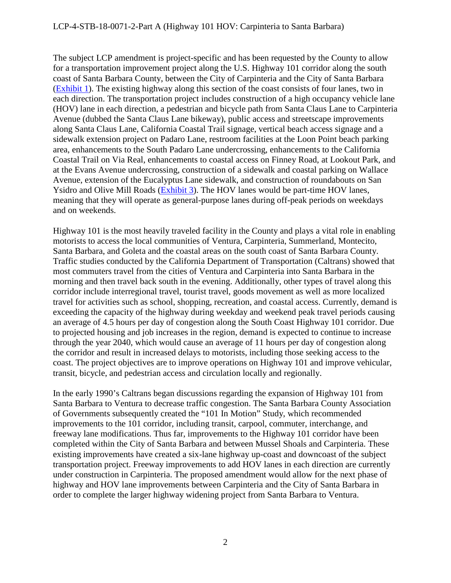The subject LCP amendment is project-specific and has been requested by the County to allow for a transportation improvement project along the U.S. Highway 101 corridor along the south coast of Santa Barbara County, between the City of Carpinteria and the City of Santa Barbara [\(Exhibit 1\)](https://documents.coastal.ca.gov/reports/2018/12/F8b/F8b-12-2018-exhibits.pdf). The existing highway along this section of the coast consists of four lanes, two in each direction. The transportation project includes construction of a high occupancy vehicle lane (HOV) lane in each direction, a pedestrian and bicycle path from Santa Claus Lane to Carpinteria Avenue (dubbed the Santa Claus Lane bikeway), public access and streetscape improvements along Santa Claus Lane, California Coastal Trail signage, vertical beach access signage and a sidewalk extension project on Padaro Lane, restroom facilities at the Loon Point beach parking area, enhancements to the South Padaro Lane undercrossing, enhancements to the California Coastal Trail on Via Real, enhancements to coastal access on Finney Road, at Lookout Park, and at the Evans Avenue undercrossing, construction of a sidewalk and coastal parking on Wallace Avenue, extension of the Eucalyptus Lane sidewalk, and construction of roundabouts on San Ysidro and Olive Mill Roads [\(Exhibit 3\)](https://documents.coastal.ca.gov/reports/2018/12/F8b/F8b-12-2018-exhibits.pdf). The HOV lanes would be part-time HOV lanes, meaning that they will operate as general-purpose lanes during off-peak periods on weekdays and on weekends.

Highway 101 is the most heavily traveled facility in the County and plays a vital role in enabling motorists to access the local communities of Ventura, Carpinteria, Summerland, Montecito, Santa Barbara, and Goleta and the coastal areas on the south coast of Santa Barbara County. Traffic studies conducted by the California Department of Transportation (Caltrans) showed that most commuters travel from the cities of Ventura and Carpinteria into Santa Barbara in the morning and then travel back south in the evening. Additionally, other types of travel along this corridor include interregional travel, tourist travel, goods movement as well as more localized travel for activities such as school, shopping, recreation, and coastal access. Currently, demand is exceeding the capacity of the highway during weekday and weekend peak travel periods causing an average of 4.5 hours per day of congestion along the South Coast Highway 101 corridor. Due to projected housing and job increases in the region, demand is expected to continue to increase through the year 2040, which would cause an average of 11 hours per day of congestion along the corridor and result in increased delays to motorists, including those seeking access to the coast. The project objectives are to improve operations on Highway 101 and improve vehicular, transit, bicycle, and pedestrian access and circulation locally and regionally.

In the early 1990's Caltrans began discussions regarding the expansion of Highway 101 from Santa Barbara to Ventura to decrease traffic congestion. The Santa Barbara County Association of Governments subsequently created the "101 In Motion" Study, which recommended improvements to the 101 corridor, including transit, carpool, commuter, interchange, and freeway lane modifications. Thus far, improvements to the Highway 101 corridor have been completed within the City of Santa Barbara and between Mussel Shoals and Carpinteria. These existing improvements have created a six-lane highway up-coast and downcoast of the subject transportation project. Freeway improvements to add HOV lanes in each direction are currently under construction in Carpinteria. The proposed amendment would allow for the next phase of highway and HOV lane improvements between Carpinteria and the City of Santa Barbara in order to complete the larger highway widening project from Santa Barbara to Ventura.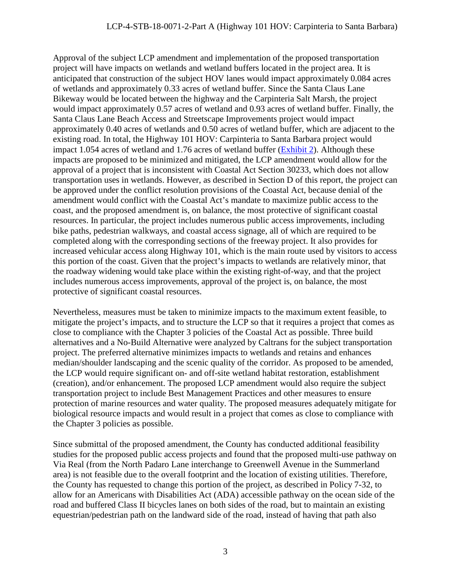Approval of the subject LCP amendment and implementation of the proposed transportation project will have impacts on wetlands and wetland buffers located in the project area. It is anticipated that construction of the subject HOV lanes would impact approximately 0.084 acres of wetlands and approximately 0.33 acres of wetland buffer. Since the Santa Claus Lane Bikeway would be located between the highway and the Carpinteria Salt Marsh, the project would impact approximately 0.57 acres of wetland and 0.93 acres of wetland buffer. Finally, the Santa Claus Lane Beach Access and Streetscape Improvements project would impact approximately 0.40 acres of wetlands and 0.50 acres of wetland buffer, which are adjacent to the existing road. In total, the Highway 101 HOV: Carpinteria to Santa Barbara project would impact 1.054 acres of wetland and 1.76 acres of wetland buffer [\(Exhibit 2\)](https://documents.coastal.ca.gov/reports/2018/12/F8b/F8b-12-2018-exhibits.pdf). Although these impacts are proposed to be minimized and mitigated, the LCP amendment would allow for the approval of a project that is inconsistent with Coastal Act Section 30233, which does not allow transportation uses in wetlands. However, as described in Section D of this report, the project can be approved under the conflict resolution provisions of the Coastal Act, because denial of the amendment would conflict with the Coastal Act's mandate to maximize public access to the coast, and the proposed amendment is, on balance, the most protective of significant coastal resources. In particular, the project includes numerous public access improvements, including bike paths, pedestrian walkways, and coastal access signage, all of which are required to be completed along with the corresponding sections of the freeway project. It also provides for increased vehicular access along Highway 101, which is the main route used by visitors to access this portion of the coast. Given that the project's impacts to wetlands are relatively minor, that the roadway widening would take place within the existing right-of-way, and that the project includes numerous access improvements, approval of the project is, on balance, the most protective of significant coastal resources.

Nevertheless, measures must be taken to minimize impacts to the maximum extent feasible, to mitigate the project's impacts, and to structure the LCP so that it requires a project that comes as close to compliance with the Chapter 3 policies of the Coastal Act as possible. Three build alternatives and a No-Build Alternative were analyzed by Caltrans for the subject transportation project. The preferred alternative minimizes impacts to wetlands and retains and enhances median/shoulder landscaping and the scenic quality of the corridor. As proposed to be amended, the LCP would require significant on- and off-site wetland habitat restoration, establishment (creation), and/or enhancement. The proposed LCP amendment would also require the subject transportation project to include Best Management Practices and other measures to ensure protection of marine resources and water quality. The proposed measures adequately mitigate for biological resource impacts and would result in a project that comes as close to compliance with the Chapter 3 policies as possible.

Since submittal of the proposed amendment, the County has conducted additional feasibility studies for the proposed public access projects and found that the proposed multi-use pathway on Via Real (from the North Padaro Lane interchange to Greenwell Avenue in the Summerland area) is not feasible due to the overall footprint and the location of existing utilities. Therefore, the County has requested to change this portion of the project, as described in Policy 7-32, to allow for an Americans with Disabilities Act (ADA) accessible pathway on the ocean side of the road and buffered Class II bicycles lanes on both sides of the road, but to maintain an existing equestrian/pedestrian path on the landward side of the road, instead of having that path also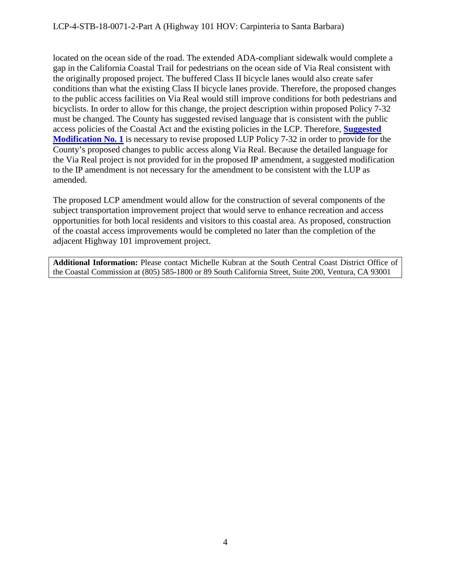located on the ocean side of the road. The extended ADA-compliant sidewalk would complete a gap in the California Coastal Trail for pedestrians on the ocean side of Via Real consistent with the originally proposed project. The buffered Class II bicycle lanes would also create safer conditions than what the existing Class II bicycle lanes provide. Therefore, the proposed changes to the public access facilities on Via Real would still improve conditions for both pedestrians and bicyclists. In order to allow for this change, the project description within proposed Policy 7-32 must be changed. The County has suggested revised language that is consistent with the public access policies of the Coastal Act and the existing policies in the LCP. Therefore, **[Suggested](#page-8-0)  [Modification No. 1](#page-8-0)** is necessary to revise proposed LUP Policy 7-32 in order to provide for the County's proposed changes to public access along Via Real. Because the detailed language for the Via Real project is not provided for in the proposed IP amendment, a suggested modification to the IP amendment is not necessary for the amendment to be consistent with the LUP as amended.

The proposed LCP amendment would allow for the construction of several components of the subject transportation improvement project that would serve to enhance recreation and access opportunities for both local residents and visitors to this coastal area. As proposed, construction of the coastal access improvements would be completed no later than the completion of the adjacent Highway 101 improvement project.

**Additional Information:** Please contact Michelle Kubran at the South Central Coast District Office of the Coastal Commission at (805) 585-1800 or 89 South California Street, Suite 200, Ventura, CA 93001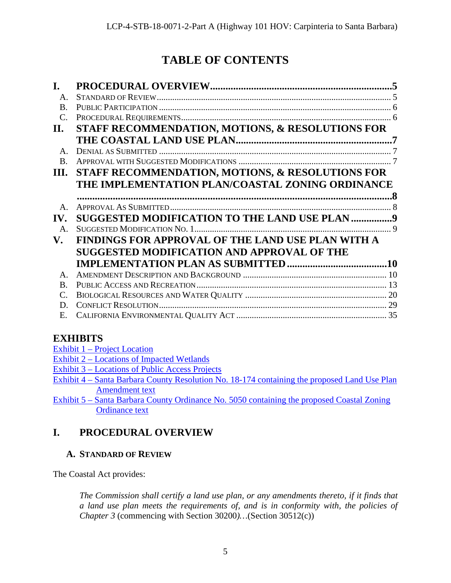# **TABLE OF CONTENTS**

| I.             |                                                   |    |
|----------------|---------------------------------------------------|----|
| $\mathbf{A}$   |                                                   |    |
| $\bf{B}$       |                                                   |    |
| $\mathcal{C}$  |                                                   |    |
| II.            | STAFF RECOMMENDATION, MOTIONS, & RESOLUTIONS FOR  |    |
|                |                                                   |    |
| $\mathsf{A}$ . |                                                   |    |
| $\bf{B}$       |                                                   |    |
| Ш.             | STAFF RECOMMENDATION, MOTIONS, & RESOLUTIONS FOR  |    |
|                | THE IMPLEMENTATION PLAN/COASTAL ZONING ORDINANCE  |    |
|                |                                                   | 8. |
| $\mathbf{A}$   |                                                   |    |
| IV.            | SUGGESTED MODIFICATION TO THE LAND USE PLAN 9     |    |
| $\mathsf{A}$ . |                                                   |    |
| V.             | FINDINGS FOR APPROVAL OF THE LAND USE PLAN WITH A |    |
|                | SUGGESTED MODIFICATION AND APPROVAL OF THE        |    |
|                |                                                   |    |
| $\mathbf{A}$   |                                                   |    |
| $\mathbf{B}$   |                                                   |    |
| $\mathcal{C}$  |                                                   |    |
| D              |                                                   |    |
| Е.             |                                                   |    |

# **EXHIBITS**

- Exhibit 1 [Project Location](https://documents.coastal.ca.gov/reports/2018/12/F8b/F8b-12-2018-exhibits.pdf)
- Exhibit 2 [Locations of Impacted Wetlands](https://documents.coastal.ca.gov/reports/2018/12/F8b/F8b-12-2018-exhibits.pdf)
- Exhibit 3 [Locations of Public Access Projects](https://documents.coastal.ca.gov/reports/2018/12/F8b/F8b-12-2018-exhibits.pdf)
- Exhibit 4 [Santa Barbara County Resolution No. 18-174](https://documents.coastal.ca.gov/reports/2018/12/F8b/F8b-12-2018-exhibits.pdf) containing the proposed Land Use Plan [Amendment text](https://documents.coastal.ca.gov/reports/2018/12/F8b/F8b-12-2018-exhibits.pdf)
- Exhibit 5 [Santa Barbara County Ordinance No. 5050](https://documents.coastal.ca.gov/reports/2018/12/F8b/F8b-12-2018-exhibits.pdf) containing the proposed Coastal Zoning [Ordinance text](https://documents.coastal.ca.gov/reports/2018/12/F8b/F8b-12-2018-exhibits.pdf)

# <span id="page-4-0"></span>**I. PROCEDURAL OVERVIEW**

# <span id="page-4-1"></span>**A. STANDARD OF REVIEW**

The Coastal Act provides:

*The Commission shall certify a land use plan, or any amendments thereto, if it finds that a land use plan meets the requirements of, and is in conformity with, the policies of Chapter 3* (commencing with Section 30200*)…*(Section 30512(c))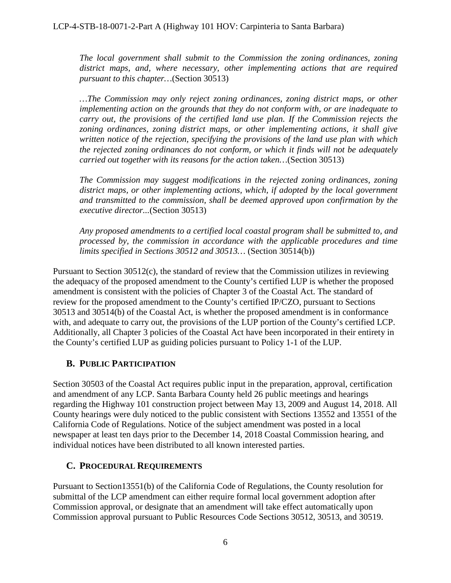*The local government shall submit to the Commission the zoning ordinances, zoning district maps, and, where necessary, other implementing actions that are required pursuant to this chapter…*(Section 30513)

*…The Commission may only reject zoning ordinances, zoning district maps, or other implementing action on the grounds that they do not conform with, or are inadequate to carry out, the provisions of the certified land use plan. If the Commission rejects the zoning ordinances, zoning district maps, or other implementing actions, it shall give written notice of the rejection, specifying the provisions of the land use plan with which the rejected zoning ordinances do not conform, or which it finds will not be adequately carried out together with its reasons for the action taken…*(Section 30513)

*The Commission may suggest modifications in the rejected zoning ordinances, zoning*  district maps, or other implementing actions, which, if adopted by the local government *and transmitted to the commission, shall be deemed approved upon confirmation by the executive director...*(Section 30513)

*Any proposed amendments to a certified local coastal program shall be submitted to, and processed by, the commission in accordance with the applicable procedures and time limits specified in Sections 30512 and 30513…* (Section 30514(b))

Pursuant to Section 30512(c), the standard of review that the Commission utilizes in reviewing the adequacy of the proposed amendment to the County's certified LUP is whether the proposed amendment is consistent with the policies of Chapter 3 of the Coastal Act. The standard of review for the proposed amendment to the County's certified IP/CZO, pursuant to Sections 30513 and 30514(b) of the Coastal Act, is whether the proposed amendment is in conformance with, and adequate to carry out, the provisions of the LUP portion of the County's certified LCP. Additionally, all Chapter 3 policies of the Coastal Act have been incorporated in their entirety in the County's certified LUP as guiding policies pursuant to Policy 1-1 of the LUP.

# <span id="page-5-0"></span>**B. PUBLIC PARTICIPATION**

Section 30503 of the Coastal Act requires public input in the preparation, approval, certification and amendment of any LCP. Santa Barbara County held 26 public meetings and hearings regarding the Highway 101 construction project between May 13, 2009 and August 14, 2018. All County hearings were duly noticed to the public consistent with Sections 13552 and 13551 of the California Code of Regulations. Notice of the subject amendment was posted in a local newspaper at least ten days prior to the December 14, 2018 Coastal Commission hearing, and individual notices have been distributed to all known interested parties.

# <span id="page-5-1"></span>**C. PROCEDURAL REQUIREMENTS**

Pursuant to Section13551(b) of the California Code of Regulations, the County resolution for submittal of the LCP amendment can either require formal local government adoption after Commission approval, or designate that an amendment will take effect automatically upon Commission approval pursuant to Public Resources Code Sections 30512, 30513, and 30519.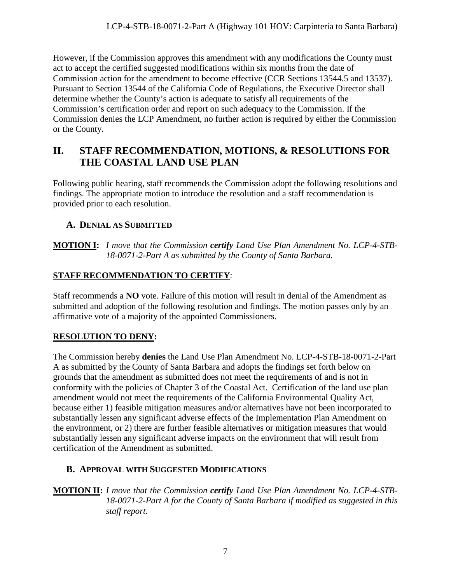However, if the Commission approves this amendment with any modifications the County must act to accept the certified suggested modifications within six months from the date of Commission action for the amendment to become effective (CCR Sections 13544.5 and 13537). Pursuant to Section 13544 of the California Code of Regulations, the Executive Director shall determine whether the County's action is adequate to satisfy all requirements of the Commission's certification order and report on such adequacy to the Commission. If the Commission denies the LCP Amendment, no further action is required by either the Commission or the County.

# <span id="page-6-0"></span>**II. STAFF RECOMMENDATION, MOTIONS, & RESOLUTIONS FOR THE COASTAL LAND USE PLAN**

Following public hearing, staff recommends the Commission adopt the following resolutions and findings. The appropriate motion to introduce the resolution and a staff recommendation is provided prior to each resolution.

# <span id="page-6-1"></span>**A. DENIAL AS SUBMITTED**

**MOTION I:** *I move that the Commission certify Land Use Plan Amendment No. LCP-4-STB-18-0071-2-Part A as submitted by the County of Santa Barbara.*

# **STAFF RECOMMENDATION TO CERTIFY**:

Staff recommends a **NO** vote. Failure of this motion will result in denial of the Amendment as submitted and adoption of the following resolution and findings. The motion passes only by an affirmative vote of a majority of the appointed Commissioners.

# **RESOLUTION TO DENY:**

The Commission hereby **denies** the Land Use Plan Amendment No. LCP-4-STB-18-0071-2-Part A as submitted by the County of Santa Barbara and adopts the findings set forth below on grounds that the amendment as submitted does not meet the requirements of and is not in conformity with the policies of Chapter 3 of the Coastal Act. Certification of the land use plan amendment would not meet the requirements of the California Environmental Quality Act, because either 1) feasible mitigation measures and/or alternatives have not been incorporated to substantially lessen any significant adverse effects of the Implementation Plan Amendment on the environment, or 2) there are further feasible alternatives or mitigation measures that would substantially lessen any significant adverse impacts on the environment that will result from certification of the Amendment as submitted.

# <span id="page-6-2"></span>**B. APPROVAL WITH SUGGESTED MODIFICATIONS**

**MOTION II:** *I move that the Commission certify Land Use Plan Amendment No. LCP-4-STB-18-0071-2-Part A for the County of Santa Barbara if modified as suggested in this staff report.*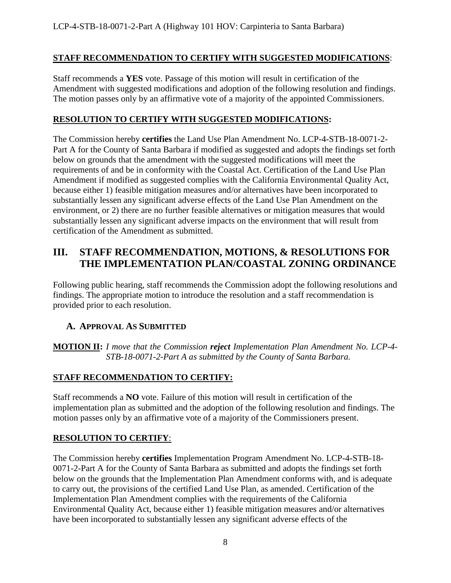## **STAFF RECOMMENDATION TO CERTIFY WITH SUGGESTED MODIFICATIONS**:

Staff recommends a **YES** vote. Passage of this motion will result in certification of the Amendment with suggested modifications and adoption of the following resolution and findings. The motion passes only by an affirmative vote of a majority of the appointed Commissioners.

# **RESOLUTION TO CERTIFY WITH SUGGESTED MODIFICATIONS:**

The Commission hereby **certifies** the Land Use Plan Amendment No. LCP-4-STB-18-0071-2- Part A for the County of Santa Barbara if modified as suggested and adopts the findings set forth below on grounds that the amendment with the suggested modifications will meet the requirements of and be in conformity with the Coastal Act. Certification of the Land Use Plan Amendment if modified as suggested complies with the California Environmental Quality Act, because either 1) feasible mitigation measures and/or alternatives have been incorporated to substantially lessen any significant adverse effects of the Land Use Plan Amendment on the environment, or 2) there are no further feasible alternatives or mitigation measures that would substantially lessen any significant adverse impacts on the environment that will result from certification of the Amendment as submitted.

# <span id="page-7-0"></span>**III. STAFF RECOMMENDATION, MOTIONS, & RESOLUTIONS FOR THE IMPLEMENTATION PLAN/COASTAL ZONING ORDINANCE**

Following public hearing, staff recommends the Commission adopt the following resolutions and findings. The appropriate motion to introduce the resolution and a staff recommendation is provided prior to each resolution.

# <span id="page-7-1"></span>**A. APPROVAL AS SUBMITTED**

**MOTION II:** *I move that the Commission reject Implementation Plan Amendment No. LCP-4- STB-18-0071-2-Part A as submitted by the County of Santa Barbara.*

# **STAFF RECOMMENDATION TO CERTIFY:**

Staff recommends a **NO** vote. Failure of this motion will result in certification of the implementation plan as submitted and the adoption of the following resolution and findings. The motion passes only by an affirmative vote of a majority of the Commissioners present.

#### **RESOLUTION TO CERTIFY**:

The Commission hereby **certifies** Implementation Program Amendment No. LCP-4-STB-18- 0071-2-Part A for the County of Santa Barbara as submitted and adopts the findings set forth below on the grounds that the Implementation Plan Amendment conforms with, and is adequate to carry out, the provisions of the certified Land Use Plan, as amended. Certification of the Implementation Plan Amendment complies with the requirements of the California Environmental Quality Act, because either 1) feasible mitigation measures and/or alternatives have been incorporated to substantially lessen any significant adverse effects of the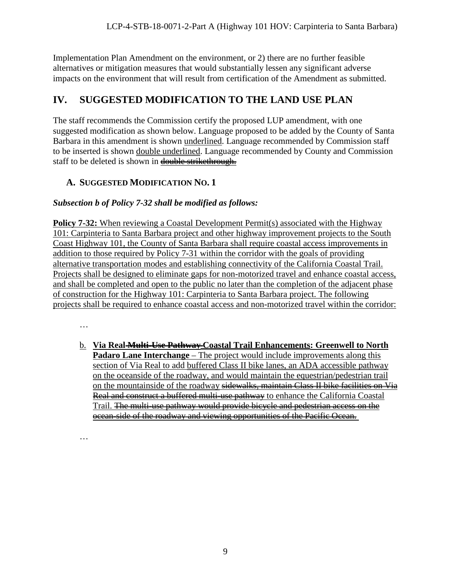Implementation Plan Amendment on the environment, or 2) there are no further feasible alternatives or mitigation measures that would substantially lessen any significant adverse impacts on the environment that will result from certification of the Amendment as submitted.

# <span id="page-8-0"></span>**IV. SUGGESTED MODIFICATION TO THE LAND USE PLAN**

The staff recommends the Commission certify the proposed LUP amendment, with one suggested modification as shown below. Language proposed to be added by the County of Santa Barbara in this amendment is shown underlined. Language recommended by Commission staff to be inserted is shown double underlined. Language recommended by County and Commission staff to be deleted is shown in double strikethrough.

# <span id="page-8-1"></span>**A. SUGGESTED MODIFICATION NO. 1**

# *Subsection b of Policy 7-32 shall be modified as follows:*

**Policy 7-32:** When reviewing a Coastal Development Permit(s) associated with the Highway 101: Carpinteria to Santa Barbara project and other highway improvement projects to the South Coast Highway 101, the County of Santa Barbara shall require coastal access improvements in addition to those required by Policy 7-31 within the corridor with the goals of providing alternative transportation modes and establishing connectivity of the California Coastal Trail. Projects shall be designed to eliminate gaps for non-motorized travel and enhance coastal access, and shall be completed and open to the public no later than the completion of the adjacent phase of construction for the Highway 101: Carpinteria to Santa Barbara project. The following projects shall be required to enhance coastal access and non-motorized travel within the corridor:

…

b. **Via Real Multi-Use Pathway Coastal Trail Enhancements: Greenwell to North Padaro Lane Interchange** – The project would include improvements along this section of Via Real to add buffered Class II bike lanes, an ADA accessible pathway on the oceanside of the roadway, and would maintain the equestrian/pedestrian trail on the mountainside of the roadway sidewalks, maintain Class II bike facilities on Via Real and construct a buffered multi-use pathway to enhance the California Coastal Trail. <del>The multi-use pathway would provide bicycle and pedestrian access on the</del> ocean-side of the roadway and viewing opportunities of the Pacific Ocean.

…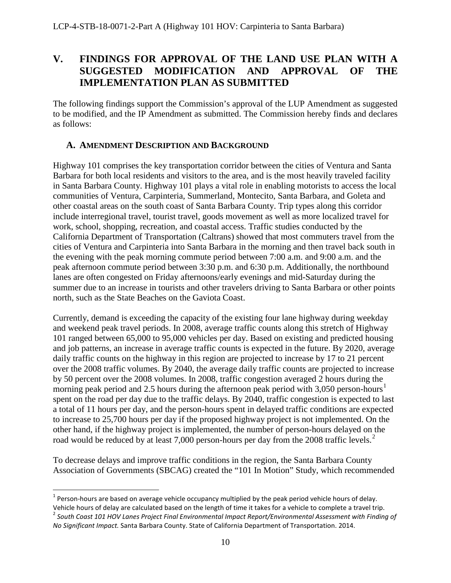# <span id="page-9-0"></span>**V. FINDINGS FOR APPROVAL OF THE LAND USE PLAN WITH A SUGGESTED MODIFICATION AND APPROVAL OF THE IMPLEMENTATION PLAN AS SUBMITTED**

The following findings support the Commission's approval of the LUP Amendment as suggested to be modified, and the IP Amendment as submitted. The Commission hereby finds and declares as follows:

## <span id="page-9-1"></span>**A. AMENDMENT DESCRIPTION AND BACKGROUND**

Highway 101 comprises the key transportation corridor between the cities of Ventura and Santa Barbara for both local residents and visitors to the area, and is the most heavily traveled facility in Santa Barbara County. Highway 101 plays a vital role in enabling motorists to access the local communities of Ventura, Carpinteria, Summerland, Montecito, Santa Barbara, and Goleta and other coastal areas on the south coast of Santa Barbara County. Trip types along this corridor include interregional travel, tourist travel, goods movement as well as more localized travel for work, school, shopping, recreation, and coastal access. Traffic studies conducted by the California Department of Transportation (Caltrans) showed that most commuters travel from the cities of Ventura and Carpinteria into Santa Barbara in the morning and then travel back south in the evening with the peak morning commute period between 7:00 a.m. and 9:00 a.m. and the peak afternoon commute period between 3:30 p.m. and 6:30 p.m. Additionally, the northbound lanes are often congested on Friday afternoons/early evenings and mid-Saturday during the summer due to an increase in tourists and other travelers driving to Santa Barbara or other points north, such as the State Beaches on the Gaviota Coast.

Currently, demand is exceeding the capacity of the existing four lane highway during weekday and weekend peak travel periods. In 2008, average traffic counts along this stretch of Highway 101 ranged between 65,000 to 95,000 vehicles per day. Based on existing and predicted housing and job patterns, an increase in average traffic counts is expected in the future. By 2020, average daily traffic counts on the highway in this region are projected to increase by 17 to 21 percent over the 2008 traffic volumes. By 2040, the average daily traffic counts are projected to increase by 50 percent over the 2008 volumes. In 2008, traffic congestion averaged 2 hours during the morning peak period and 2.5 hours during the afternoon peak period with 3,050 person-hours<sup>[1](#page-9-2)</sup> spent on the road per day due to the traffic delays. By 2040, traffic congestion is expected to last a total of 11 hours per day, and the person-hours spent in delayed traffic conditions are expected to increase to 25,700 hours per day if the proposed highway project is not implemented. On the other hand, if the highway project is implemented, the number of person-hours delayed on the road would be reduced by at least 7,000 person-hours per day from the [2](#page-9-3)008 traffic levels.<sup>2</sup>

To decrease delays and improve traffic conditions in the region, the Santa Barbara County Association of Governments (SBCAG) created the "101 In Motion" Study, which recommended

<span id="page-9-2"></span> $1$  Person-hours are based on average vehicle occupancy multiplied by the peak period vehicle hours of delay. Vehicle hours of delay are calculated based on the length of time it takes for a vehicle to complete a travel trip.

<span id="page-9-3"></span><sup>2</sup> *South Coast 101 HOV Lanes Project Final Environmental Impact Report/Environmental Assessment with Finding of No Significant Impact.* Santa Barbara County. State of California Department of Transportation. 2014.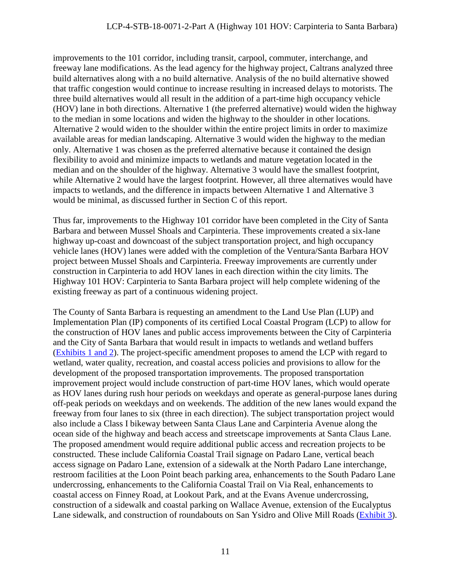improvements to the 101 corridor, including transit, carpool, commuter, interchange, and freeway lane modifications. As the lead agency for the highway project, Caltrans analyzed three build alternatives along with a no build alternative. Analysis of the no build alternative showed that traffic congestion would continue to increase resulting in increased delays to motorists. The three build alternatives would all result in the addition of a part-time high occupancy vehicle (HOV) lane in both directions. Alternative 1 (the preferred alternative) would widen the highway to the median in some locations and widen the highway to the shoulder in other locations. Alternative 2 would widen to the shoulder within the entire project limits in order to maximize available areas for median landscaping. Alternative 3 would widen the highway to the median only. Alternative 1 was chosen as the preferred alternative because it contained the design flexibility to avoid and minimize impacts to wetlands and mature vegetation located in the median and on the shoulder of the highway. Alternative 3 would have the smallest footprint, while Alternative 2 would have the largest footprint. However, all three alternatives would have impacts to wetlands, and the difference in impacts between Alternative 1 and Alternative 3 would be minimal, as discussed further in Section C of this report.

Thus far, improvements to the Highway 101 corridor have been completed in the City of Santa Barbara and between Mussel Shoals and Carpinteria. These improvements created a six-lane highway up-coast and downcoast of the subject transportation project, and high occupancy vehicle lanes (HOV) lanes were added with the completion of the Ventura/Santa Barbara HOV project between Mussel Shoals and Carpinteria. Freeway improvements are currently under construction in Carpinteria to add HOV lanes in each direction within the city limits. The Highway 101 HOV: Carpinteria to Santa Barbara project will help complete widening of the existing freeway as part of a continuous widening project.

The County of Santa Barbara is requesting an amendment to the Land Use Plan (LUP) and Implementation Plan (IP) components of its certified Local Coastal Program (LCP) to allow for the construction of HOV lanes and public access improvements between the City of Carpinteria and the City of Santa Barbara that would result in impacts to wetlands and wetland buffers [\(Exhibits 1 and 2\)](https://documents.coastal.ca.gov/reports/2018/12/F8b/F8b-12-2018-exhibits.pdf). The project-specific amendment proposes to amend the LCP with regard to wetland, water quality, recreation, and coastal access policies and provisions to allow for the development of the proposed transportation improvements. The proposed transportation improvement project would include construction of part-time HOV lanes, which would operate as HOV lanes during rush hour periods on weekdays and operate as general-purpose lanes during off-peak periods on weekdays and on weekends. The addition of the new lanes would expand the freeway from four lanes to six (three in each direction). The subject transportation project would also include a Class I bikeway between Santa Claus Lane and Carpinteria Avenue along the ocean side of the highway and beach access and streetscape improvements at Santa Claus Lane. The proposed amendment would require additional public access and recreation projects to be constructed. These include California Coastal Trail signage on Padaro Lane, vertical beach access signage on Padaro Lane, extension of a sidewalk at the North Padaro Lane interchange, restroom facilities at the Loon Point beach parking area, enhancements to the South Padaro Lane undercrossing, enhancements to the California Coastal Trail on Via Real, enhancements to coastal access on Finney Road, at Lookout Park, and at the Evans Avenue undercrossing, construction of a sidewalk and coastal parking on Wallace Avenue, extension of the Eucalyptus Lane sidewalk, and construction of roundabouts on San Ysidro and Olive Mill Roads [\(Exhibit 3\)](https://documents.coastal.ca.gov/reports/2018/12/F8b/F8b-12-2018-exhibits.pdf).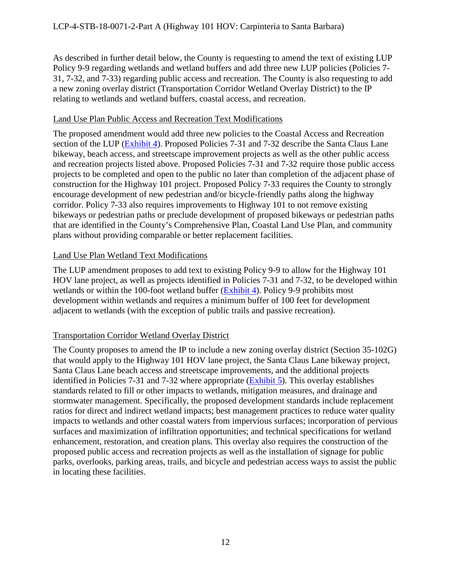As described in further detail below, the County is requesting to amend the text of existing LUP Policy 9-9 regarding wetlands and wetland buffers and add three new LUP policies (Policies 7- 31, 7-32, and 7-33) regarding public access and recreation. The County is also requesting to add a new zoning overlay district (Transportation Corridor Wetland Overlay District) to the IP relating to wetlands and wetland buffers, coastal access, and recreation.

### Land Use Plan Public Access and Recreation Text Modifications

The proposed amendment would add three new policies to the Coastal Access and Recreation section of the LUP [\(Exhibit 4\)](https://documents.coastal.ca.gov/reports/2018/12/F8b/F8b-12-2018-exhibits.pdf). Proposed Policies 7-31 and 7-32 describe the Santa Claus Lane bikeway, beach access, and streetscape improvement projects as well as the other public access and recreation projects listed above. Proposed Policies 7-31 and 7-32 require those public access projects to be completed and open to the public no later than completion of the adjacent phase of construction for the Highway 101 project. Proposed Policy 7-33 requires the County to strongly encourage development of new pedestrian and/or bicycle-friendly paths along the highway corridor. Policy 7-33 also requires improvements to Highway 101 to not remove existing bikeways or pedestrian paths or preclude development of proposed bikeways or pedestrian paths that are identified in the County's Comprehensive Plan, Coastal Land Use Plan, and community plans without providing comparable or better replacement facilities.

## Land Use Plan Wetland Text Modifications

The LUP amendment proposes to add text to existing Policy 9-9 to allow for the Highway 101 HOV lane project, as well as projects identified in Policies 7-31 and 7-32, to be developed within wetlands or within the 100-foot wetland buffer [\(Exhibit 4\)](https://documents.coastal.ca.gov/reports/2018/12/F8b/F8b-12-2018-exhibits.pdf). Policy 9-9 prohibits most development within wetlands and requires a minimum buffer of 100 feet for development adjacent to wetlands (with the exception of public trails and passive recreation).

# Transportation Corridor Wetland Overlay District

The County proposes to amend the IP to include a new zoning overlay district (Section 35-102G) that would apply to the Highway 101 HOV lane project, the Santa Claus Lane bikeway project, Santa Claus Lane beach access and streetscape improvements, and the additional projects identified in Policies 7-31 and 7-32 where appropriate [\(Exhibit 5\)](https://documents.coastal.ca.gov/reports/2018/12/F8b/F8b-12-2018-exhibits.pdf). This overlay establishes standards related to fill or other impacts to wetlands, mitigation measures, and drainage and stormwater management. Specifically, the proposed development standards include replacement ratios for direct and indirect wetland impacts; best management practices to reduce water quality impacts to wetlands and other coastal waters from impervious surfaces; incorporation of pervious surfaces and maximization of infiltration opportunities; and technical specifications for wetland enhancement, restoration, and creation plans. This overlay also requires the construction of the proposed public access and recreation projects as well as the installation of signage for public parks, overlooks, parking areas, trails, and bicycle and pedestrian access ways to assist the public in locating these facilities.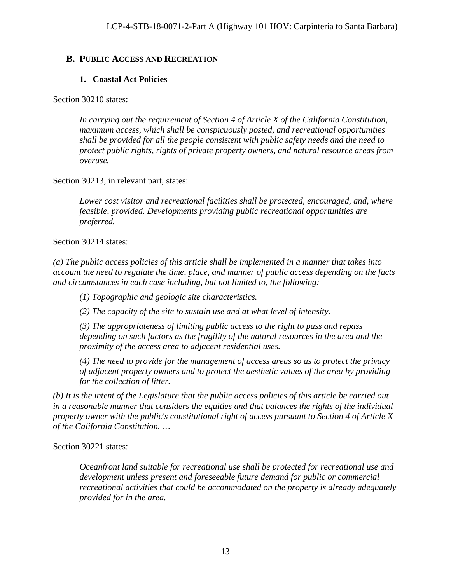# <span id="page-12-0"></span>**B. PUBLIC ACCESS AND RECREATION**

# **1. Coastal Act Policies**

Section 30210 states:

*In carrying out the requirement of Section 4 of Article X of the California Constitution, maximum access, which shall be conspicuously posted, and recreational opportunities shall be provided for all the people consistent with public safety needs and the need to protect public rights, rights of private property owners, and natural resource areas from overuse.*

Section 30213, in relevant part, states:

*Lower cost visitor and recreational facilities shall be protected, encouraged, and, where feasible, provided. Developments providing public recreational opportunities are preferred.*

Section 30214 states:

*(a) The public access policies of this article shall be implemented in a manner that takes into account the need to regulate the time, place, and manner of public access depending on the facts and circumstances in each case including, but not limited to, the following:* 

*(1) Topographic and geologic site characteristics.* 

*(2) The capacity of the site to sustain use and at what level of intensity.* 

*(3) The appropriateness of limiting public access to the right to pass and repass depending on such factors as the fragility of the natural resources in the area and the proximity of the access area to adjacent residential uses.* 

*(4) The need to provide for the management of access areas so as to protect the privacy of adjacent property owners and to protect the aesthetic values of the area by providing for the collection of litter.* 

*(b) It is the intent of the Legislature that the public access policies of this article be carried out in a reasonable manner that considers the equities and that balances the rights of the individual property owner with the public's constitutional right of access pursuant to Section 4 of Article X of the California Constitution. …*

Section 30221 states:

*Oceanfront land suitable for recreational use shall be protected for recreational use and development unless present and foreseeable future demand for public or commercial recreational activities that could be accommodated on the property is already adequately provided for in the area.*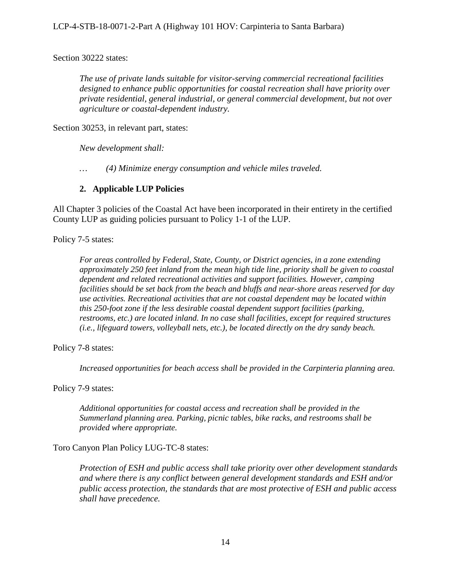Section 30222 states:

*The use of private lands suitable for visitor-serving commercial recreational facilities designed to enhance public opportunities for coastal recreation shall have priority over private residential, general industrial, or general commercial development, but not over agriculture or coastal-dependent industry.*

Section 30253, in relevant part, states:

*New development shall:*

*… (4) Minimize energy consumption and vehicle miles traveled.*

#### **2. Applicable LUP Policies**

All Chapter 3 policies of the Coastal Act have been incorporated in their entirety in the certified County LUP as guiding policies pursuant to Policy 1-1 of the LUP.

Policy 7-5 states:

*For areas controlled by Federal, State, County, or District agencies, in a zone extending approximately 250 feet inland from the mean high tide line, priority shall be given to coastal dependent and related recreational activities and support facilities. However, camping facilities should be set back from the beach and bluffs and near-shore areas reserved for day use activities. Recreational activities that are not coastal dependent may be located within this 250-foot zone if the less desirable coastal dependent support facilities (parking, restrooms, etc.) are located inland. In no case shall facilities, except for required structures (i.e., lifeguard towers, volleyball nets, etc.), be located directly on the dry sandy beach.* 

Policy 7-8 states:

*Increased opportunities for beach access shall be provided in the Carpinteria planning area.* 

Policy 7-9 states:

*Additional opportunities for coastal access and recreation shall be provided in the Summerland planning area. Parking, picnic tables, bike racks, and restrooms shall be provided where appropriate.* 

Toro Canyon Plan Policy LUG-TC-8 states:

*Protection of ESH and public access shall take priority over other development standards and where there is any conflict between general development standards and ESH and/or public access protection, the standards that are most protective of ESH and public access shall have precedence.*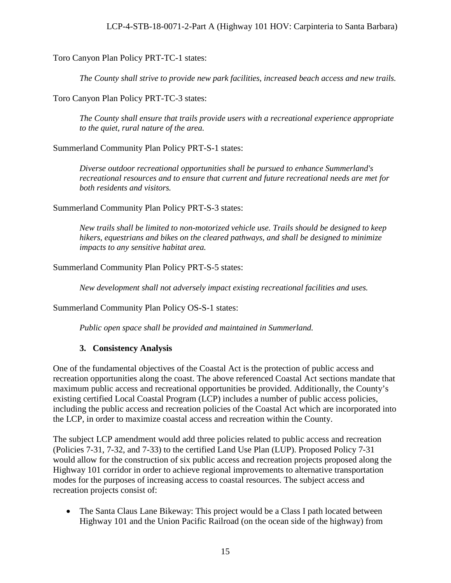### Toro Canyon Plan Policy PRT-TC-1 states:

*The County shall strive to provide new park facilities, increased beach access and new trails.* 

Toro Canyon Plan Policy PRT-TC-3 states:

*The County shall ensure that trails provide users with a recreational experience appropriate to the quiet, rural nature of the area.* 

Summerland Community Plan Policy PRT-S-1 states:

*Diverse outdoor recreational opportunities shall be pursued to enhance Summerland's recreational resources and to ensure that current and future recreational needs are met for both residents and visitors.* 

Summerland Community Plan Policy PRT-S-3 states:

*New trails shall be limited to non-motorized vehicle use. Trails should be designed to keep hikers, equestrians and bikes on the cleared pathways, and shall be designed to minimize impacts to any sensitive habitat area.* 

#### Summerland Community Plan Policy PRT-S-5 states:

*New development shall not adversely impact existing recreational facilities and uses.* 

Summerland Community Plan Policy OS-S-1 states:

*Public open space shall be provided and maintained in Summerland.* 

#### **3. Consistency Analysis**

One of the fundamental objectives of the Coastal Act is the protection of public access and recreation opportunities along the coast. The above referenced Coastal Act sections mandate that maximum public access and recreational opportunities be provided. Additionally, the County's existing certified Local Coastal Program (LCP) includes a number of public access policies, including the public access and recreation policies of the Coastal Act which are incorporated into the LCP, in order to maximize coastal access and recreation within the County.

The subject LCP amendment would add three policies related to public access and recreation (Policies 7-31, 7-32, and 7-33) to the certified Land Use Plan (LUP). Proposed Policy 7-31 would allow for the construction of six public access and recreation projects proposed along the Highway 101 corridor in order to achieve regional improvements to alternative transportation modes for the purposes of increasing access to coastal resources. The subject access and recreation projects consist of:

• The Santa Claus Lane Bikeway: This project would be a Class I path located between Highway 101 and the Union Pacific Railroad (on the ocean side of the highway) from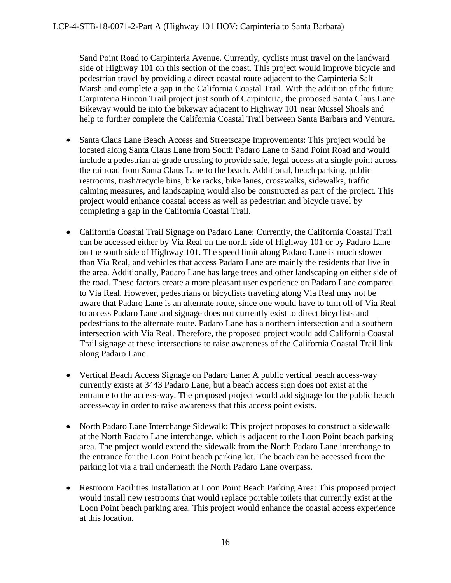Sand Point Road to Carpinteria Avenue. Currently, cyclists must travel on the landward side of Highway 101 on this section of the coast. This project would improve bicycle and pedestrian travel by providing a direct coastal route adjacent to the Carpinteria Salt Marsh and complete a gap in the California Coastal Trail. With the addition of the future Carpinteria Rincon Trail project just south of Carpinteria, the proposed Santa Claus Lane Bikeway would tie into the bikeway adjacent to Highway 101 near Mussel Shoals and help to further complete the California Coastal Trail between Santa Barbara and Ventura.

- Santa Claus Lane Beach Access and Streetscape Improvements: This project would be located along Santa Claus Lane from South Padaro Lane to Sand Point Road and would include a pedestrian at-grade crossing to provide safe, legal access at a single point across the railroad from Santa Claus Lane to the beach. Additional, beach parking, public restrooms, trash/recycle bins, bike racks, bike lanes, crosswalks, sidewalks, traffic calming measures, and landscaping would also be constructed as part of the project. This project would enhance coastal access as well as pedestrian and bicycle travel by completing a gap in the California Coastal Trail.
- California Coastal Trail Signage on Padaro Lane: Currently, the California Coastal Trail can be accessed either by Via Real on the north side of Highway 101 or by Padaro Lane on the south side of Highway 101. The speed limit along Padaro Lane is much slower than Via Real, and vehicles that access Padaro Lane are mainly the residents that live in the area. Additionally, Padaro Lane has large trees and other landscaping on either side of the road. These factors create a more pleasant user experience on Padaro Lane compared to Via Real. However, pedestrians or bicyclists traveling along Via Real may not be aware that Padaro Lane is an alternate route, since one would have to turn off of Via Real to access Padaro Lane and signage does not currently exist to direct bicyclists and pedestrians to the alternate route. Padaro Lane has a northern intersection and a southern intersection with Via Real. Therefore, the proposed project would add California Coastal Trail signage at these intersections to raise awareness of the California Coastal Trail link along Padaro Lane.
- Vertical Beach Access Signage on Padaro Lane: A public vertical beach access-way currently exists at 3443 Padaro Lane, but a beach access sign does not exist at the entrance to the access-way. The proposed project would add signage for the public beach access-way in order to raise awareness that this access point exists.
- North Padaro Lane Interchange Sidewalk: This project proposes to construct a sidewalk at the North Padaro Lane interchange, which is adjacent to the Loon Point beach parking area. The project would extend the sidewalk from the North Padaro Lane interchange to the entrance for the Loon Point beach parking lot. The beach can be accessed from the parking lot via a trail underneath the North Padaro Lane overpass.
- Restroom Facilities Installation at Loon Point Beach Parking Area: This proposed project would install new restrooms that would replace portable toilets that currently exist at the Loon Point beach parking area. This project would enhance the coastal access experience at this location.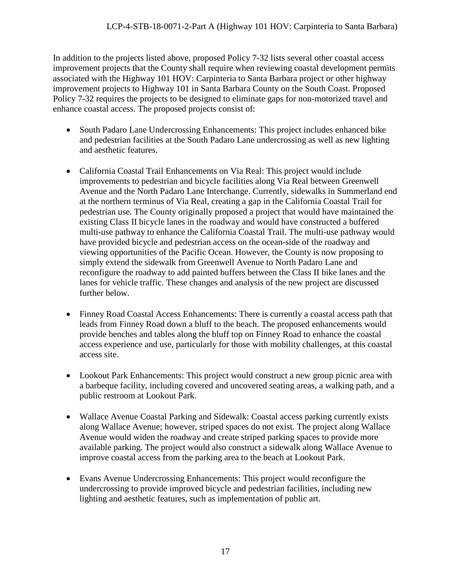In addition to the projects listed above, proposed Policy 7-32 lists several other coastal access improvement projects that the County shall require when reviewing coastal development permits associated with the Highway 101 HOV: Carpinteria to Santa Barbara project or other highway improvement projects to Highway 101 in Santa Barbara County on the South Coast. Proposed Policy 7-32 requires the projects to be designed to eliminate gaps for non-motorized travel and enhance coastal access. The proposed projects consist of:

- South Padaro Lane Undercrossing Enhancements: This project includes enhanced bike and pedestrian facilities at the South Padaro Lane undercrossing as well as new lighting and aesthetic features.
- California Coastal Trail Enhancements on Via Real: This project would include improvements to pedestrian and bicycle facilities along Via Real between Greenwell Avenue and the North Padaro Lane Interchange. Currently, sidewalks in Summerland end at the northern terminus of Via Real, creating a gap in the California Coastal Trail for pedestrian use. The County originally proposed a project that would have maintained the existing Class II bicycle lanes in the roadway and would have constructed a buffered multi-use pathway to enhance the California Coastal Trail. The multi-use pathway would have provided bicycle and pedestrian access on the ocean-side of the roadway and viewing opportunities of the Pacific Ocean. However, the County is now proposing to simply extend the sidewalk from Greenwell Avenue to North Padaro Lane and reconfigure the roadway to add painted buffers between the Class II bike lanes and the lanes for vehicle traffic. These changes and analysis of the new project are discussed further below.
- Finney Road Coastal Access Enhancements: There is currently a coastal access path that leads from Finney Road down a bluff to the beach. The proposed enhancements would provide benches and tables along the bluff top on Finney Road to enhance the coastal access experience and use, particularly for those with mobility challenges, at this coastal access site.
- Lookout Park Enhancements: This project would construct a new group picnic area with a barbeque facility, including covered and uncovered seating areas, a walking path, and a public restroom at Lookout Park.
- Wallace Avenue Coastal Parking and Sidewalk: Coastal access parking currently exists along Wallace Avenue; however, striped spaces do not exist. The project along Wallace Avenue would widen the roadway and create striped parking spaces to provide more available parking. The project would also construct a sidewalk along Wallace Avenue to improve coastal access from the parking area to the beach at Lookout Park.
- Evans Avenue Undercrossing Enhancements: This project would reconfigure the undercrossing to provide improved bicycle and pedestrian facilities, including new lighting and aesthetic features, such as implementation of public art.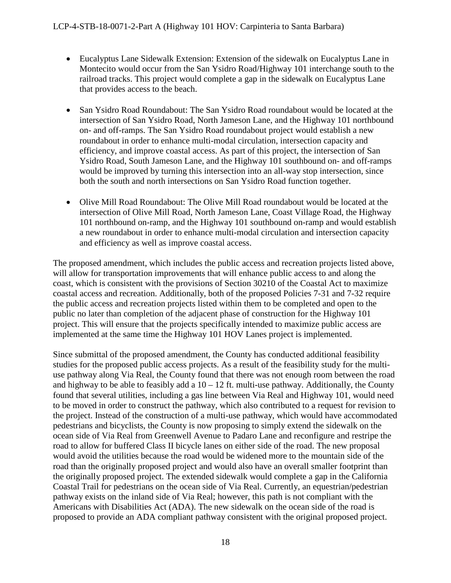- Eucalyptus Lane Sidewalk Extension: Extension of the sidewalk on Eucalyptus Lane in Montecito would occur from the San Ysidro Road/Highway 101 interchange south to the railroad tracks. This project would complete a gap in the sidewalk on Eucalyptus Lane that provides access to the beach.
- San Ysidro Road Roundabout: The San Ysidro Road roundabout would be located at the intersection of San Ysidro Road, North Jameson Lane, and the Highway 101 northbound on- and off-ramps. The San Ysidro Road roundabout project would establish a new roundabout in order to enhance multi-modal circulation, intersection capacity and efficiency, and improve coastal access. As part of this project, the intersection of San Ysidro Road, South Jameson Lane, and the Highway 101 southbound on- and off-ramps would be improved by turning this intersection into an all-way stop intersection, since both the south and north intersections on San Ysidro Road function together.
- Olive Mill Road Roundabout: The Olive Mill Road roundabout would be located at the intersection of Olive Mill Road, North Jameson Lane, Coast Village Road, the Highway 101 northbound on-ramp, and the Highway 101 southbound on-ramp and would establish a new roundabout in order to enhance multi-modal circulation and intersection capacity and efficiency as well as improve coastal access.

The proposed amendment, which includes the public access and recreation projects listed above, will allow for transportation improvements that will enhance public access to and along the coast, which is consistent with the provisions of Section 30210 of the Coastal Act to maximize coastal access and recreation. Additionally, both of the proposed Policies 7-31 and 7-32 require the public access and recreation projects listed within them to be completed and open to the public no later than completion of the adjacent phase of construction for the Highway 101 project. This will ensure that the projects specifically intended to maximize public access are implemented at the same time the Highway 101 HOV Lanes project is implemented.

Since submittal of the proposed amendment, the County has conducted additional feasibility studies for the proposed public access projects. As a result of the feasibility study for the multiuse pathway along Via Real, the County found that there was not enough room between the road and highway to be able to feasibly add a  $10 - 12$  ft. multi-use pathway. Additionally, the County found that several utilities, including a gas line between Via Real and Highway 101, would need to be moved in order to construct the pathway, which also contributed to a request for revision to the project. Instead of the construction of a multi-use pathway, which would have accommodated pedestrians and bicyclists, the County is now proposing to simply extend the sidewalk on the ocean side of Via Real from Greenwell Avenue to Padaro Lane and reconfigure and restripe the road to allow for buffered Class II bicycle lanes on either side of the road. The new proposal would avoid the utilities because the road would be widened more to the mountain side of the road than the originally proposed project and would also have an overall smaller footprint than the originally proposed project. The extended sidewalk would complete a gap in the California Coastal Trail for pedestrians on the ocean side of Via Real. Currently, an equestrian/pedestrian pathway exists on the inland side of Via Real; however, this path is not compliant with the Americans with Disabilities Act (ADA). The new sidewalk on the ocean side of the road is proposed to provide an ADA compliant pathway consistent with the original proposed project.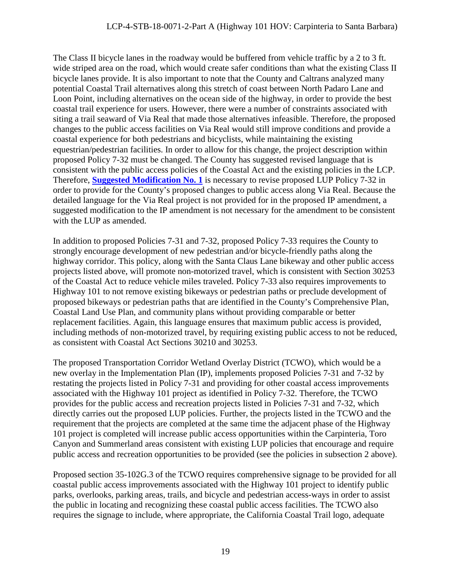The Class II bicycle lanes in the roadway would be buffered from vehicle traffic by a 2 to 3 ft. wide striped area on the road, which would create safer conditions than what the existing Class II bicycle lanes provide. It is also important to note that the County and Caltrans analyzed many potential Coastal Trail alternatives along this stretch of coast between North Padaro Lane and Loon Point, including alternatives on the ocean side of the highway, in order to provide the best coastal trail experience for users. However, there were a number of constraints associated with siting a trail seaward of Via Real that made those alternatives infeasible. Therefore, the proposed changes to the public access facilities on Via Real would still improve conditions and provide a coastal experience for both pedestrians and bicyclists, while maintaining the existing equestrian/pedestrian facilities. In order to allow for this change, the project description within proposed Policy 7-32 must be changed. The County has suggested revised language that is consistent with the public access policies of the Coastal Act and the existing policies in the LCP. Therefore, **[Suggested Modification No. 1](#page-8-0)** is necessary to revise proposed LUP Policy 7-32 in order to provide for the County's proposed changes to public access along Via Real. Because the detailed language for the Via Real project is not provided for in the proposed IP amendment, a suggested modification to the IP amendment is not necessary for the amendment to be consistent with the LUP as amended.

In addition to proposed Policies 7-31 and 7-32, proposed Policy 7-33 requires the County to strongly encourage development of new pedestrian and/or bicycle-friendly paths along the highway corridor. This policy, along with the Santa Claus Lane bikeway and other public access projects listed above, will promote non-motorized travel, which is consistent with Section 30253 of the Coastal Act to reduce vehicle miles traveled. Policy 7-33 also requires improvements to Highway 101 to not remove existing bikeways or pedestrian paths or preclude development of proposed bikeways or pedestrian paths that are identified in the County's Comprehensive Plan, Coastal Land Use Plan, and community plans without providing comparable or better replacement facilities. Again, this language ensures that maximum public access is provided, including methods of non-motorized travel, by requiring existing public access to not be reduced, as consistent with Coastal Act Sections 30210 and 30253.

The proposed Transportation Corridor Wetland Overlay District (TCWO), which would be a new overlay in the Implementation Plan (IP), implements proposed Policies 7-31 and 7-32 by restating the projects listed in Policy 7-31 and providing for other coastal access improvements associated with the Highway 101 project as identified in Policy 7-32. Therefore, the TCWO provides for the public access and recreation projects listed in Policies 7-31 and 7-32, which directly carries out the proposed LUP policies. Further, the projects listed in the TCWO and the requirement that the projects are completed at the same time the adjacent phase of the Highway 101 project is completed will increase public access opportunities within the Carpinteria, Toro Canyon and Summerland areas consistent with existing LUP policies that encourage and require public access and recreation opportunities to be provided (see the policies in subsection 2 above).

Proposed section 35-102G.3 of the TCWO requires comprehensive signage to be provided for all coastal public access improvements associated with the Highway 101 project to identify public parks, overlooks, parking areas, trails, and bicycle and pedestrian access-ways in order to assist the public in locating and recognizing these coastal public access facilities. The TCWO also requires the signage to include, where appropriate, the California Coastal Trail logo, adequate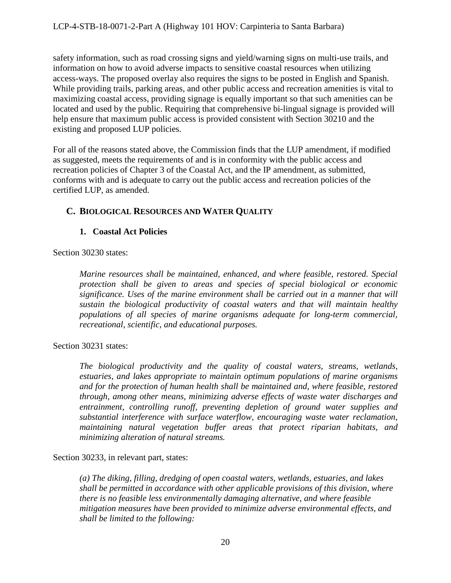safety information, such as road crossing signs and yield/warning signs on multi-use trails, and information on how to avoid adverse impacts to sensitive coastal resources when utilizing access-ways. The proposed overlay also requires the signs to be posted in English and Spanish. While providing trails, parking areas, and other public access and recreation amenities is vital to maximizing coastal access, providing signage is equally important so that such amenities can be located and used by the public. Requiring that comprehensive bi-lingual signage is provided will help ensure that maximum public access is provided consistent with Section 30210 and the existing and proposed LUP policies.

For all of the reasons stated above, the Commission finds that the LUP amendment, if modified as suggested, meets the requirements of and is in conformity with the public access and recreation policies of Chapter 3 of the Coastal Act, and the IP amendment, as submitted, conforms with and is adequate to carry out the public access and recreation policies of the certified LUP, as amended.

## <span id="page-19-0"></span>**C. BIOLOGICAL RESOURCES AND WATER QUALITY**

#### **1. Coastal Act Policies**

Section 30230 states:

*Marine resources shall be maintained, enhanced, and where feasible, restored. Special protection shall be given to areas and species of special biological or economic significance. Uses of the marine environment shall be carried out in a manner that will sustain the biological productivity of coastal waters and that will maintain healthy populations of all species of marine organisms adequate for long-term commercial, recreational, scientific, and educational purposes.* 

Section 30231 states:

*The biological productivity and the quality of coastal waters, streams, wetlands, estuaries, and lakes appropriate to maintain optimum populations of marine organisms and for the protection of human health shall be maintained and, where feasible, restored through, among other means, minimizing adverse effects of waste water discharges and entrainment, controlling runoff, preventing depletion of ground water supplies and substantial interference with surface waterflow, encouraging waste water reclamation, maintaining natural vegetation buffer areas that protect riparian habitats, and minimizing alteration of natural streams.* 

Section 30233, in relevant part, states:

*(a) The diking, filling, dredging of open coastal waters, wetlands, estuaries, and lakes shall be permitted in accordance with other applicable provisions of this division, where there is no feasible less environmentally damaging alternative, and where feasible mitigation measures have been provided to minimize adverse environmental effects, and shall be limited to the following:*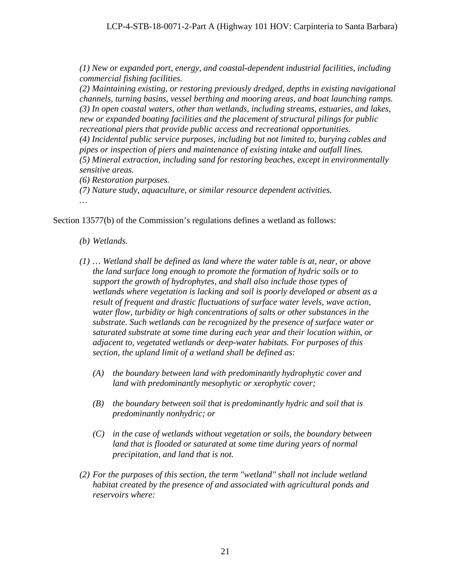*(1) New or expanded port, energy, and coastal-dependent industrial facilities, including commercial fishing facilities.*

*(2) Maintaining existing, or restoring previously dredged, depths in existing navigational channels, turning basins, vessel berthing and mooring areas, and boat launching ramps. (3) In open coastal waters, other than wetlands, including streams, estuaries, and lakes, new or expanded boating facilities and the placement of structural pilings for public recreational piers that provide public access and recreational opportunities. (4) Incidental public service purposes, including but not limited to, burying cables and pipes or inspection of piers and maintenance of existing intake and outfall lines. (5) Mineral extraction, including sand for restoring beaches, except in environmentally sensitive areas.*

*(6) Restoration purposes.*

*(7) Nature study, aquaculture, or similar resource dependent activities.*

*…*

Section 13577(b) of the Commission's regulations defines a wetland as follows:

- *(b) Wetlands.*
- *(1) … Wetland shall be defined as land where the water table is at, near, or above the land surface long enough to promote the formation of hydric soils or to support the growth of hydrophytes, and shall also include those types of wetlands where vegetation is lacking and soil is poorly developed or absent as a result of frequent and drastic fluctuations of surface water levels, wave action, water flow, turbidity or high concentrations of salts or other substances in the substrate. Such wetlands can be recognized by the presence of surface water or saturated substrate at some time during each year and their location within, or adjacent to, vegetated wetlands or deep-water habitats. For purposes of this section, the upland limit of a wetland shall be defined as:*
	- *(A) the boundary between land with predominantly hydrophytic cover and land with predominantly mesophytic or xerophytic cover;*
	- *(B) the boundary between soil that is predominantly hydric and soil that is predominantly nonhydric; or*
	- *(C) in the case of wetlands without vegetation or soils, the boundary between land that is flooded or saturated at some time during years of normal precipitation, and land that is not.*
- *(2) For the purposes of this section, the term "wetland" shall not include wetland habitat created by the presence of and associated with agricultural ponds and reservoirs where:*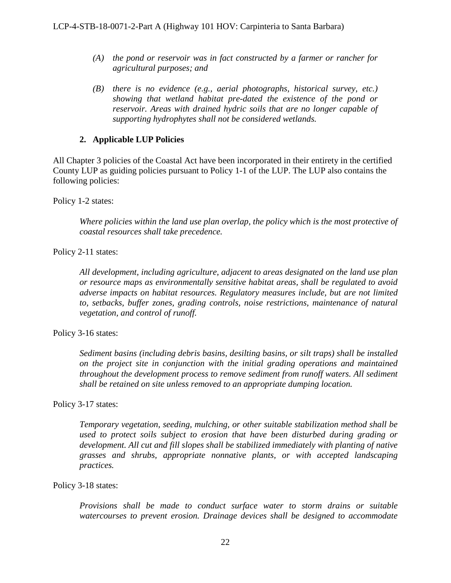- *(A) the pond or reservoir was in fact constructed by a farmer or rancher for agricultural purposes; and*
- *(B) there is no evidence (e.g., aerial photographs, historical survey, etc.) showing that wetland habitat pre-dated the existence of the pond or reservoir. Areas with drained hydric soils that are no longer capable of supporting hydrophytes shall not be considered wetlands.*

### **2. Applicable LUP Policies**

All Chapter 3 policies of the Coastal Act have been incorporated in their entirety in the certified County LUP as guiding policies pursuant to Policy 1-1 of the LUP. The LUP also contains the following policies:

Policy 1-2 states:

*Where policies within the land use plan overlap, the policy which is the most protective of coastal resources shall take precedence.*

Policy 2-11 states:

*All development, including agriculture, adjacent to areas designated on the land use plan or resource maps as environmentally sensitive habitat areas, shall be regulated to avoid adverse impacts on habitat resources. Regulatory measures include, but are not limited to, setbacks, buffer zones, grading controls, noise restrictions, maintenance of natural vegetation, and control of runoff.* 

Policy 3-16 states:

*Sediment basins (including debris basins, desilting basins, or silt traps) shall be installed on the project site in conjunction with the initial grading operations and maintained throughout the development process to remove sediment from runoff waters. All sediment shall be retained on site unless removed to an appropriate dumping location.*

Policy 3-17 states:

*Temporary vegetation, seeding, mulching, or other suitable stabilization method shall be used to protect soils subject to erosion that have been disturbed during grading or development. All cut and fill slopes shall be stabilized immediately with planting of native grasses and shrubs, appropriate nonnative plants, or with accepted landscaping practices.* 

#### Policy 3-18 states:

*Provisions shall be made to conduct surface water to storm drains or suitable watercourses to prevent erosion. Drainage devices shall be designed to accommodate*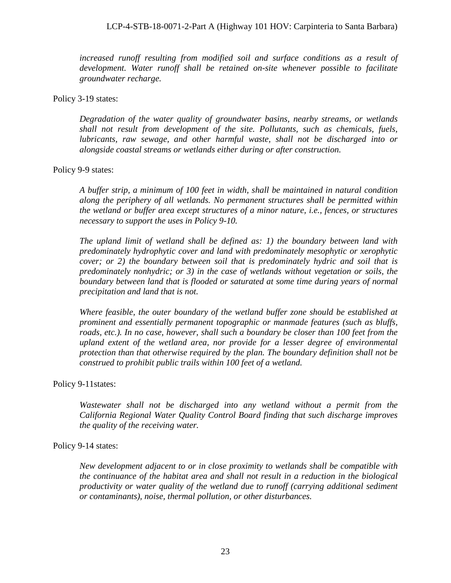increased runoff resulting from modified soil and surface conditions as a result of *development. Water runoff shall be retained on-site whenever possible to facilitate groundwater recharge.*

#### Policy 3-19 states:

*Degradation of the water quality of groundwater basins, nearby streams, or wetlands shall not result from development of the site. Pollutants, such as chemicals, fuels, lubricants, raw sewage, and other harmful waste, shall not be discharged into or alongside coastal streams or wetlands either during or after construction.*

#### Policy 9-9 states:

*A buffer strip, a minimum of 100 feet in width, shall be maintained in natural condition along the periphery of all wetlands. No permanent structures shall be permitted within the wetland or buffer area except structures of a minor nature, i.e., fences, or structures necessary to support the uses in Policy 9-10.*

*The upland limit of wetland shall be defined as: 1) the boundary between land with predominately hydrophytic cover and land with predominately mesophytic or xerophytic cover; or 2) the boundary between soil that is predominately hydric and soil that is predominately nonhydric; or 3) in the case of wetlands without vegetation or soils, the boundary between land that is flooded or saturated at some time during years of normal precipitation and land that is not.* 

*Where feasible, the outer boundary of the wetland buffer zone should be established at prominent and essentially permanent topographic or manmade features (such as bluffs,*  roads, etc.). In no case, however, shall such a boundary be closer than 100 feet from the *upland extent of the wetland area, nor provide for a lesser degree of environmental protection than that otherwise required by the plan. The boundary definition shall not be construed to prohibit public trails within 100 feet of a wetland.* 

#### Policy 9-11states:

*Wastewater shall not be discharged into any wetland without a permit from the California Regional Water Quality Control Board finding that such discharge improves the quality of the receiving water.* 

#### Policy 9-14 states:

*New development adjacent to or in close proximity to wetlands shall be compatible with the continuance of the habitat area and shall not result in a reduction in the biological productivity or water quality of the wetland due to runoff (carrying additional sediment or contaminants), noise, thermal pollution, or other disturbances.*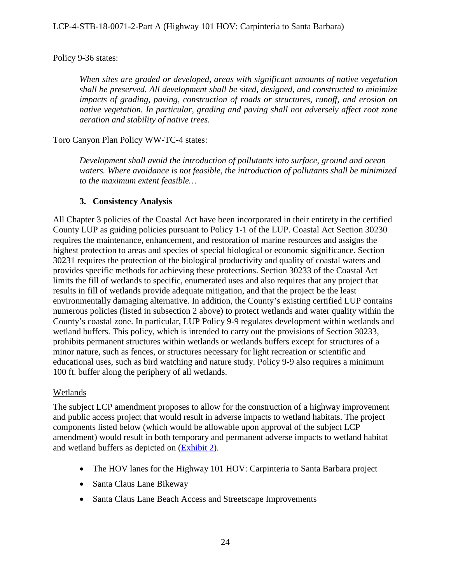### Policy 9-36 states:

*When sites are graded or developed, areas with significant amounts of native vegetation shall be preserved. All development shall be sited, designed, and constructed to minimize impacts of grading, paving, construction of roads or structures, runoff, and erosion on native vegetation. In particular, grading and paving shall not adversely affect root zone aeration and stability of native trees.*

Toro Canyon Plan Policy WW-TC-4 states:

*Development shall avoid the introduction of pollutants into surface, ground and ocean waters. Where avoidance is not feasible, the introduction of pollutants shall be minimized to the maximum extent feasible…* 

## **3. Consistency Analysis**

All Chapter 3 policies of the Coastal Act have been incorporated in their entirety in the certified County LUP as guiding policies pursuant to Policy 1-1 of the LUP. Coastal Act Section 30230 requires the maintenance, enhancement, and restoration of marine resources and assigns the highest protection to areas and species of special biological or economic significance. Section 30231 requires the protection of the biological productivity and quality of coastal waters and provides specific methods for achieving these protections. Section 30233 of the Coastal Act limits the fill of wetlands to specific, enumerated uses and also requires that any project that results in fill of wetlands provide adequate mitigation, and that the project be the least environmentally damaging alternative. In addition, the County's existing certified LUP contains numerous policies (listed in subsection 2 above) to protect wetlands and water quality within the County's coastal zone. In particular, LUP Policy 9-9 regulates development within wetlands and wetland buffers. This policy, which is intended to carry out the provisions of Section 30233, prohibits permanent structures within wetlands or wetlands buffers except for structures of a minor nature, such as fences, or structures necessary for light recreation or scientific and educational uses, such as bird watching and nature study. Policy 9-9 also requires a minimum 100 ft. buffer along the periphery of all wetlands.

#### **Wetlands**

The subject LCP amendment proposes to allow for the construction of a highway improvement and public access project that would result in adverse impacts to wetland habitats. The project components listed below (which would be allowable upon approval of the subject LCP amendment) would result in both temporary and permanent adverse impacts to wetland habitat and wetland buffers as depicted on [\(Exhibit 2\)](https://documents.coastal.ca.gov/reports/2018/12/F8b/F8b-12-2018-exhibits.pdf).

- The HOV lanes for the Highway 101 HOV: Carpinteria to Santa Barbara project
- Santa Claus Lane Bikeway
- Santa Claus Lane Beach Access and Streetscape Improvements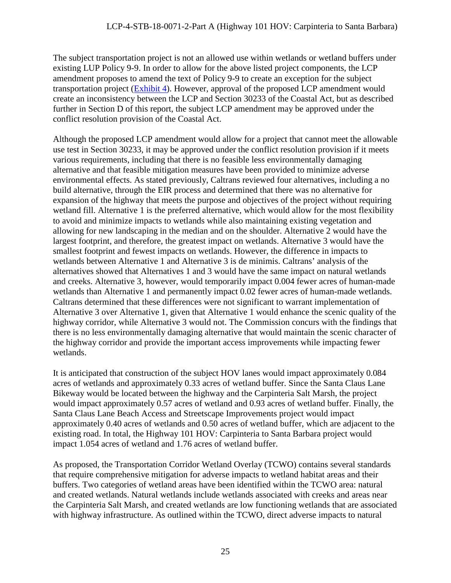The subject transportation project is not an allowed use within wetlands or wetland buffers under existing LUP Policy 9-9. In order to allow for the above listed project components, the LCP amendment proposes to amend the text of Policy 9-9 to create an exception for the subject transportation project [\(Exhibit 4\)](https://documents.coastal.ca.gov/reports/2018/12/F8b/F8b-12-2018-exhibits.pdf). However, approval of the proposed LCP amendment would create an inconsistency between the LCP and Section 30233 of the Coastal Act, but as described further in Section D of this report, the subject LCP amendment may be approved under the conflict resolution provision of the Coastal Act.

Although the proposed LCP amendment would allow for a project that cannot meet the allowable use test in Section 30233, it may be approved under the conflict resolution provision if it meets various requirements, including that there is no feasible less environmentally damaging alternative and that feasible mitigation measures have been provided to minimize adverse environmental effects. As stated previously, Caltrans reviewed four alternatives, including a no build alternative, through the EIR process and determined that there was no alternative for expansion of the highway that meets the purpose and objectives of the project without requiring wetland fill. Alternative 1 is the preferred alternative, which would allow for the most flexibility to avoid and minimize impacts to wetlands while also maintaining existing vegetation and allowing for new landscaping in the median and on the shoulder. Alternative 2 would have the largest footprint, and therefore, the greatest impact on wetlands. Alternative 3 would have the smallest footprint and fewest impacts on wetlands. However, the difference in impacts to wetlands between Alternative 1 and Alternative 3 is de minimis. Caltrans' analysis of the alternatives showed that Alternatives 1 and 3 would have the same impact on natural wetlands and creeks. Alternative 3, however, would temporarily impact 0.004 fewer acres of human-made wetlands than Alternative 1 and permanently impact 0.02 fewer acres of human-made wetlands. Caltrans determined that these differences were not significant to warrant implementation of Alternative 3 over Alternative 1, given that Alternative 1 would enhance the scenic quality of the highway corridor, while Alternative 3 would not. The Commission concurs with the findings that there is no less environmentally damaging alternative that would maintain the scenic character of the highway corridor and provide the important access improvements while impacting fewer wetlands.

It is anticipated that construction of the subject HOV lanes would impact approximately 0.084 acres of wetlands and approximately 0.33 acres of wetland buffer. Since the Santa Claus Lane Bikeway would be located between the highway and the Carpinteria Salt Marsh, the project would impact approximately 0.57 acres of wetland and 0.93 acres of wetland buffer. Finally, the Santa Claus Lane Beach Access and Streetscape Improvements project would impact approximately 0.40 acres of wetlands and 0.50 acres of wetland buffer, which are adjacent to the existing road. In total, the Highway 101 HOV: Carpinteria to Santa Barbara project would impact 1.054 acres of wetland and 1.76 acres of wetland buffer.

As proposed, the Transportation Corridor Wetland Overlay (TCWO) contains several standards that require comprehensive mitigation for adverse impacts to wetland habitat areas and their buffers. Two categories of wetland areas have been identified within the TCWO area: natural and created wetlands. Natural wetlands include wetlands associated with creeks and areas near the Carpinteria Salt Marsh, and created wetlands are low functioning wetlands that are associated with highway infrastructure. As outlined within the TCWO, direct adverse impacts to natural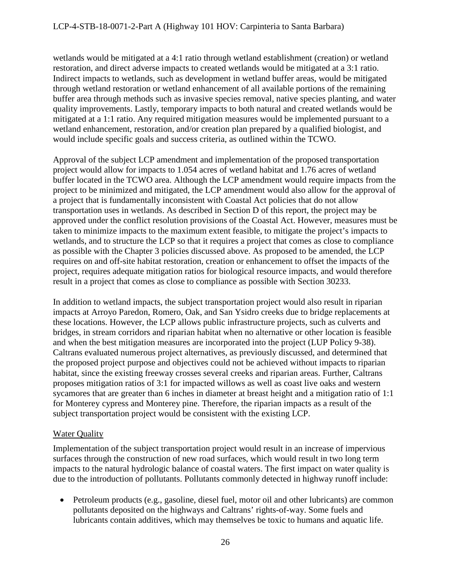wetlands would be mitigated at a 4:1 ratio through wetland establishment (creation) or wetland restoration, and direct adverse impacts to created wetlands would be mitigated at a 3:1 ratio. Indirect impacts to wetlands, such as development in wetland buffer areas, would be mitigated through wetland restoration or wetland enhancement of all available portions of the remaining buffer area through methods such as invasive species removal, native species planting, and water quality improvements. Lastly, temporary impacts to both natural and created wetlands would be mitigated at a 1:1 ratio. Any required mitigation measures would be implemented pursuant to a wetland enhancement, restoration, and/or creation plan prepared by a qualified biologist, and would include specific goals and success criteria, as outlined within the TCWO.

Approval of the subject LCP amendment and implementation of the proposed transportation project would allow for impacts to 1.054 acres of wetland habitat and 1.76 acres of wetland buffer located in the TCWO area. Although the LCP amendment would require impacts from the project to be minimized and mitigated, the LCP amendment would also allow for the approval of a project that is fundamentally inconsistent with Coastal Act policies that do not allow transportation uses in wetlands. As described in Section D of this report, the project may be approved under the conflict resolution provisions of the Coastal Act. However, measures must be taken to minimize impacts to the maximum extent feasible, to mitigate the project's impacts to wetlands, and to structure the LCP so that it requires a project that comes as close to compliance as possible with the Chapter 3 policies discussed above. As proposed to be amended, the LCP requires on and off-site habitat restoration, creation or enhancement to offset the impacts of the project, requires adequate mitigation ratios for biological resource impacts, and would therefore result in a project that comes as close to compliance as possible with Section 30233.

In addition to wetland impacts, the subject transportation project would also result in riparian impacts at Arroyo Paredon, Romero, Oak, and San Ysidro creeks due to bridge replacements at these locations. However, the LCP allows public infrastructure projects, such as culverts and bridges, in stream corridors and riparian habitat when no alternative or other location is feasible and when the best mitigation measures are incorporated into the project (LUP Policy 9-38). Caltrans evaluated numerous project alternatives, as previously discussed, and determined that the proposed project purpose and objectives could not be achieved without impacts to riparian habitat, since the existing freeway crosses several creeks and riparian areas. Further, Caltrans proposes mitigation ratios of 3:1 for impacted willows as well as coast live oaks and western sycamores that are greater than 6 inches in diameter at breast height and a mitigation ratio of 1:1 for Monterey cypress and Monterey pine. Therefore, the riparian impacts as a result of the subject transportation project would be consistent with the existing LCP.

# Water Quality

Implementation of the subject transportation project would result in an increase of impervious surfaces through the construction of new road surfaces, which would result in two long term impacts to the natural hydrologic balance of coastal waters. The first impact on water quality is due to the introduction of pollutants. Pollutants commonly detected in highway runoff include:

• Petroleum products (e.g., gasoline, diesel fuel, motor oil and other lubricants) are common pollutants deposited on the highways and Caltrans' rights-of-way. Some fuels and lubricants contain additives, which may themselves be toxic to humans and aquatic life.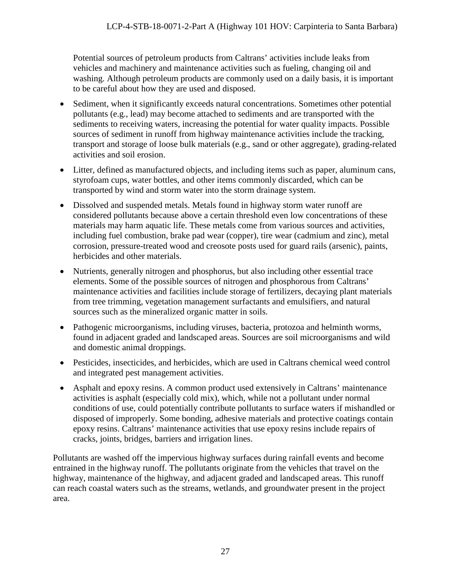Potential sources of petroleum products from Caltrans' activities include leaks from vehicles and machinery and maintenance activities such as fueling, changing oil and washing. Although petroleum products are commonly used on a daily basis, it is important to be careful about how they are used and disposed.

- Sediment, when it significantly exceeds natural concentrations. Sometimes other potential pollutants (e.g., lead) may become attached to sediments and are transported with the sediments to receiving waters, increasing the potential for water quality impacts. Possible sources of sediment in runoff from highway maintenance activities include the tracking, transport and storage of loose bulk materials (e.g., sand or other aggregate), grading-related activities and soil erosion.
- Litter, defined as manufactured objects, and including items such as paper, aluminum cans, styrofoam cups, water bottles, and other items commonly discarded, which can be transported by wind and storm water into the storm drainage system.
- Dissolved and suspended metals. Metals found in highway storm water runoff are considered pollutants because above a certain threshold even low concentrations of these materials may harm aquatic life. These metals come from various sources and activities, including fuel combustion, brake pad wear (copper), tire wear (cadmium and zinc), metal corrosion, pressure-treated wood and creosote posts used for guard rails (arsenic), paints, herbicides and other materials.
- Nutrients, generally nitrogen and phosphorus, but also including other essential trace elements. Some of the possible sources of nitrogen and phosphorous from Caltrans' maintenance activities and facilities include storage of fertilizers, decaying plant materials from tree trimming, vegetation management surfactants and emulsifiers, and natural sources such as the mineralized organic matter in soils.
- Pathogenic microorganisms, including viruses, bacteria, protozoa and helminth worms, found in adjacent graded and landscaped areas. Sources are soil microorganisms and wild and domestic animal droppings.
- Pesticides, insecticides, and herbicides, which are used in Caltrans chemical weed control and integrated pest management activities.
- Asphalt and epoxy resins. A common product used extensively in Caltrans' maintenance activities is asphalt (especially cold mix), which, while not a pollutant under normal conditions of use, could potentially contribute pollutants to surface waters if mishandled or disposed of improperly. Some bonding, adhesive materials and protective coatings contain epoxy resins. Caltrans' maintenance activities that use epoxy resins include repairs of cracks, joints, bridges, barriers and irrigation lines.

Pollutants are washed off the impervious highway surfaces during rainfall events and become entrained in the highway runoff. The pollutants originate from the vehicles that travel on the highway, maintenance of the highway, and adjacent graded and landscaped areas. This runoff can reach coastal waters such as the streams, wetlands, and groundwater present in the project area.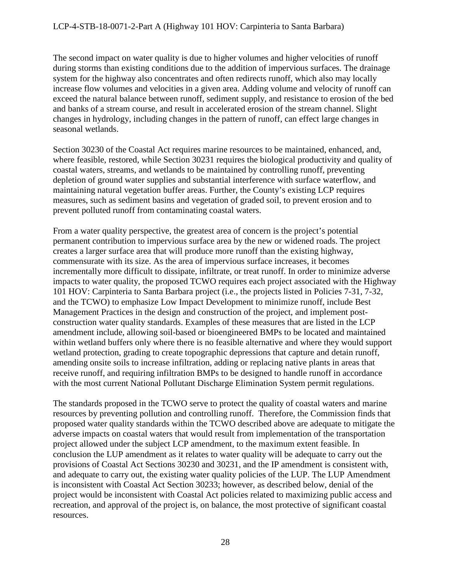The second impact on water quality is due to higher volumes and higher velocities of runoff during storms than existing conditions due to the addition of impervious surfaces. The drainage system for the highway also concentrates and often redirects runoff, which also may locally increase flow volumes and velocities in a given area. Adding volume and velocity of runoff can exceed the natural balance between runoff, sediment supply, and resistance to erosion of the bed and banks of a stream course, and result in accelerated erosion of the stream channel. Slight changes in hydrology, including changes in the pattern of runoff, can effect large changes in seasonal wetlands.

Section 30230 of the Coastal Act requires marine resources to be maintained, enhanced, and, where feasible, restored, while Section 30231 requires the biological productivity and quality of coastal waters, streams, and wetlands to be maintained by controlling runoff, preventing depletion of ground water supplies and substantial interference with surface waterflow, and maintaining natural vegetation buffer areas. Further, the County's existing LCP requires measures, such as sediment basins and vegetation of graded soil, to prevent erosion and to prevent polluted runoff from contaminating coastal waters.

From a water quality perspective, the greatest area of concern is the project's potential permanent contribution to impervious surface area by the new or widened roads. The project creates a larger surface area that will produce more runoff than the existing highway, commensurate with its size. As the area of impervious surface increases, it becomes incrementally more difficult to dissipate, infiltrate, or treat runoff. In order to minimize adverse impacts to water quality, the proposed TCWO requires each project associated with the Highway 101 HOV: Carpinteria to Santa Barbara project (i.e., the projects listed in Policies 7-31, 7-32, and the TCWO) to emphasize Low Impact Development to minimize runoff, include Best Management Practices in the design and construction of the project, and implement postconstruction water quality standards. Examples of these measures that are listed in the LCP amendment include, allowing soil-based or bioengineered BMPs to be located and maintained within wetland buffers only where there is no feasible alternative and where they would support wetland protection, grading to create topographic depressions that capture and detain runoff, amending onsite soils to increase infiltration, adding or replacing native plants in areas that receive runoff, and requiring infiltration BMPs to be designed to handle runoff in accordance with the most current National Pollutant Discharge Elimination System permit regulations.

The standards proposed in the TCWO serve to protect the quality of coastal waters and marine resources by preventing pollution and controlling runoff. Therefore, the Commission finds that proposed water quality standards within the TCWO described above are adequate to mitigate the adverse impacts on coastal waters that would result from implementation of the transportation project allowed under the subject LCP amendment, to the maximum extent feasible. In conclusion the LUP amendment as it relates to water quality will be adequate to carry out the provisions of Coastal Act Sections 30230 and 30231, and the IP amendment is consistent with, and adequate to carry out, the existing water quality policies of the LUP. The LUP Amendment is inconsistent with Coastal Act Section 30233; however, as described below, denial of the project would be inconsistent with Coastal Act policies related to maximizing public access and recreation, and approval of the project is, on balance, the most protective of significant coastal resources.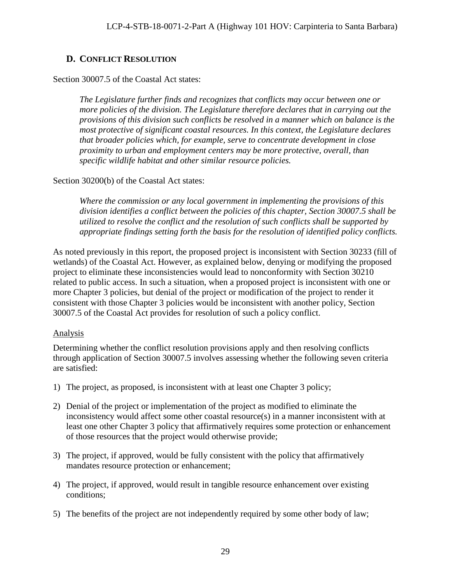# <span id="page-28-0"></span>**D. CONFLICT RESOLUTION**

#### Section 30007.5 of the Coastal Act states:

*The Legislature further finds and recognizes that conflicts may occur between one or more policies of the division. The Legislature therefore declares that in carrying out the provisions of this division such conflicts be resolved in a manner which on balance is the most protective of significant coastal resources. In this context, the Legislature declares that broader policies which, for example, serve to concentrate development in close proximity to urban and employment centers may be more protective, overall, than specific wildlife habitat and other similar resource policies.*

## Section 30200(b) of the Coastal Act states:

*Where the commission or any local government in implementing the provisions of this division identifies a conflict between the policies of this chapter, Section 30007.5 shall be utilized to resolve the conflict and the resolution of such conflicts shall be supported by appropriate findings setting forth the basis for the resolution of identified policy conflicts.* 

As noted previously in this report, the proposed project is inconsistent with Section 30233 (fill of wetlands) of the Coastal Act. However, as explained below, denying or modifying the proposed project to eliminate these inconsistencies would lead to nonconformity with Section 30210 related to public access. In such a situation, when a proposed project is inconsistent with one or more Chapter 3 policies, but denial of the project or modification of the project to render it consistent with those Chapter 3 policies would be inconsistent with another policy, Section 30007.5 of the Coastal Act provides for resolution of such a policy conflict.

# Analysis

Determining whether the conflict resolution provisions apply and then resolving conflicts through application of Section 30007.5 involves assessing whether the following seven criteria are satisfied:

- 1) The project, as proposed, is inconsistent with at least one Chapter 3 policy;
- 2) Denial of the project or implementation of the project as modified to eliminate the inconsistency would affect some other coastal resource(s) in a manner inconsistent with at least one other Chapter 3 policy that affirmatively requires some protection or enhancement of those resources that the project would otherwise provide;
- 3) The project, if approved, would be fully consistent with the policy that affirmatively mandates resource protection or enhancement;
- 4) The project, if approved, would result in tangible resource enhancement over existing conditions;
- 5) The benefits of the project are not independently required by some other body of law;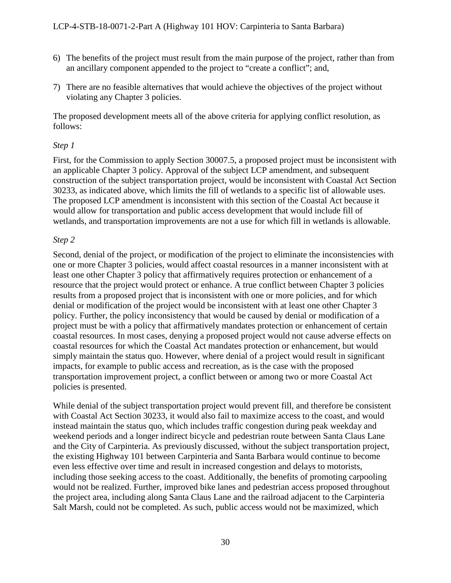- 6) The benefits of the project must result from the main purpose of the project, rather than from an ancillary component appended to the project to "create a conflict"; and,
- 7) There are no feasible alternatives that would achieve the objectives of the project without violating any Chapter 3 policies.

The proposed development meets all of the above criteria for applying conflict resolution, as follows:

## *Step 1*

First, for the Commission to apply Section 30007.5, a proposed project must be inconsistent with an applicable Chapter 3 policy. Approval of the subject LCP amendment, and subsequent construction of the subject transportation project, would be inconsistent with Coastal Act Section 30233, as indicated above, which limits the fill of wetlands to a specific list of allowable uses. The proposed LCP amendment is inconsistent with this section of the Coastal Act because it would allow for transportation and public access development that would include fill of wetlands, and transportation improvements are not a use for which fill in wetlands is allowable.

## *Step 2*

Second, denial of the project, or modification of the project to eliminate the inconsistencies with one or more Chapter 3 policies, would affect coastal resources in a manner inconsistent with at least one other Chapter 3 policy that affirmatively requires protection or enhancement of a resource that the project would protect or enhance. A true conflict between Chapter 3 policies results from a proposed project that is inconsistent with one or more policies, and for which denial or modification of the project would be inconsistent with at least one other Chapter 3 policy. Further, the policy inconsistency that would be caused by denial or modification of a project must be with a policy that affirmatively mandates protection or enhancement of certain coastal resources. In most cases, denying a proposed project would not cause adverse effects on coastal resources for which the Coastal Act mandates protection or enhancement, but would simply maintain the status quo. However, where denial of a project would result in significant impacts, for example to public access and recreation, as is the case with the proposed transportation improvement project, a conflict between or among two or more Coastal Act policies is presented.

While denial of the subject transportation project would prevent fill, and therefore be consistent with Coastal Act Section 30233, it would also fail to maximize access to the coast, and would instead maintain the status quo, which includes traffic congestion during peak weekday and weekend periods and a longer indirect bicycle and pedestrian route between Santa Claus Lane and the City of Carpinteria. As previously discussed, without the subject transportation project, the existing Highway 101 between Carpinteria and Santa Barbara would continue to become even less effective over time and result in increased congestion and delays to motorists, including those seeking access to the coast. Additionally, the benefits of promoting carpooling would not be realized. Further, improved bike lanes and pedestrian access proposed throughout the project area, including along Santa Claus Lane and the railroad adjacent to the Carpinteria Salt Marsh, could not be completed. As such, public access would not be maximized, which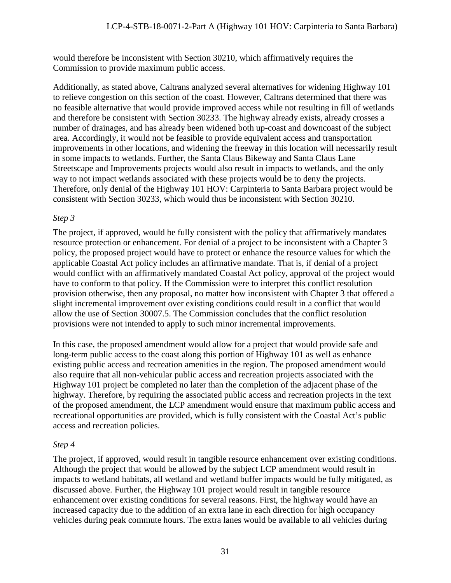would therefore be inconsistent with Section 30210, which affirmatively requires the Commission to provide maximum public access.

Additionally, as stated above, Caltrans analyzed several alternatives for widening Highway 101 to relieve congestion on this section of the coast. However, Caltrans determined that there was no feasible alternative that would provide improved access while not resulting in fill of wetlands and therefore be consistent with Section 30233. The highway already exists, already crosses a number of drainages, and has already been widened both up-coast and downcoast of the subject area. Accordingly, it would not be feasible to provide equivalent access and transportation improvements in other locations, and widening the freeway in this location will necessarily result in some impacts to wetlands. Further, the Santa Claus Bikeway and Santa Claus Lane Streetscape and Improvements projects would also result in impacts to wetlands, and the only way to not impact wetlands associated with these projects would be to deny the projects. Therefore, only denial of the Highway 101 HOV: Carpinteria to Santa Barbara project would be consistent with Section 30233, which would thus be inconsistent with Section 30210.

#### *Step 3*

The project, if approved, would be fully consistent with the policy that affirmatively mandates resource protection or enhancement. For denial of a project to be inconsistent with a Chapter 3 policy, the proposed project would have to protect or enhance the resource values for which the applicable Coastal Act policy includes an affirmative mandate. That is, if denial of a project would conflict with an affirmatively mandated Coastal Act policy, approval of the project would have to conform to that policy. If the Commission were to interpret this conflict resolution provision otherwise, then any proposal, no matter how inconsistent with Chapter 3 that offered a slight incremental improvement over existing conditions could result in a conflict that would allow the use of Section 30007.5. The Commission concludes that the conflict resolution provisions were not intended to apply to such minor incremental improvements.

In this case, the proposed amendment would allow for a project that would provide safe and long-term public access to the coast along this portion of Highway 101 as well as enhance existing public access and recreation amenities in the region. The proposed amendment would also require that all non-vehicular public access and recreation projects associated with the Highway 101 project be completed no later than the completion of the adjacent phase of the highway. Therefore, by requiring the associated public access and recreation projects in the text of the proposed amendment, the LCP amendment would ensure that maximum public access and recreational opportunities are provided, which is fully consistent with the Coastal Act's public access and recreation policies.

# *Step 4*

The project, if approved, would result in tangible resource enhancement over existing conditions. Although the project that would be allowed by the subject LCP amendment would result in impacts to wetland habitats, all wetland and wetland buffer impacts would be fully mitigated, as discussed above. Further, the Highway 101 project would result in tangible resource enhancement over existing conditions for several reasons. First, the highway would have an increased capacity due to the addition of an extra lane in each direction for high occupancy vehicles during peak commute hours. The extra lanes would be available to all vehicles during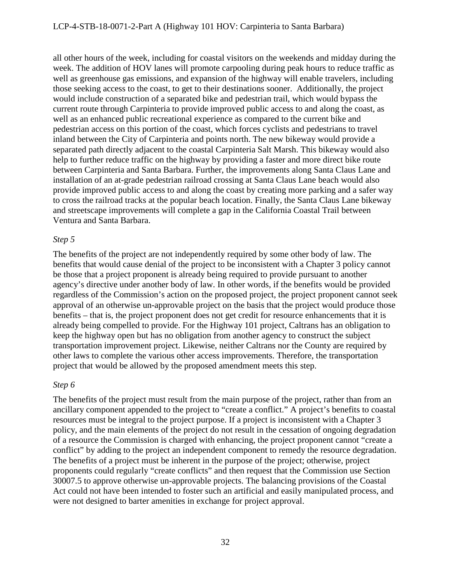all other hours of the week, including for coastal visitors on the weekends and midday during the week. The addition of HOV lanes will promote carpooling during peak hours to reduce traffic as well as greenhouse gas emissions, and expansion of the highway will enable travelers, including those seeking access to the coast, to get to their destinations sooner. Additionally, the project would include construction of a separated bike and pedestrian trail, which would bypass the current route through Carpinteria to provide improved public access to and along the coast, as well as an enhanced public recreational experience as compared to the current bike and pedestrian access on this portion of the coast, which forces cyclists and pedestrians to travel inland between the City of Carpinteria and points north. The new bikeway would provide a separated path directly adjacent to the coastal Carpinteria Salt Marsh. This bikeway would also help to further reduce traffic on the highway by providing a faster and more direct bike route between Carpinteria and Santa Barbara. Further, the improvements along Santa Claus Lane and installation of an at-grade pedestrian railroad crossing at Santa Claus Lane beach would also provide improved public access to and along the coast by creating more parking and a safer way to cross the railroad tracks at the popular beach location. Finally, the Santa Claus Lane bikeway and streetscape improvements will complete a gap in the California Coastal Trail between Ventura and Santa Barbara.

#### *Step 5*

The benefits of the project are not independently required by some other body of law. The benefits that would cause denial of the project to be inconsistent with a Chapter 3 policy cannot be those that a project proponent is already being required to provide pursuant to another agency's directive under another body of law. In other words, if the benefits would be provided regardless of the Commission's action on the proposed project, the project proponent cannot seek approval of an otherwise un-approvable project on the basis that the project would produce those benefits – that is, the project proponent does not get credit for resource enhancements that it is already being compelled to provide. For the Highway 101 project, Caltrans has an obligation to keep the highway open but has no obligation from another agency to construct the subject transportation improvement project. Likewise, neither Caltrans nor the County are required by other laws to complete the various other access improvements. Therefore, the transportation project that would be allowed by the proposed amendment meets this step.

#### *Step 6*

The benefits of the project must result from the main purpose of the project, rather than from an ancillary component appended to the project to "create a conflict." A project's benefits to coastal resources must be integral to the project purpose. If a project is inconsistent with a Chapter 3 policy, and the main elements of the project do not result in the cessation of ongoing degradation of a resource the Commission is charged with enhancing, the project proponent cannot "create a conflict" by adding to the project an independent component to remedy the resource degradation. The benefits of a project must be inherent in the purpose of the project; otherwise, project proponents could regularly "create conflicts" and then request that the Commission use Section 30007.5 to approve otherwise un-approvable projects. The balancing provisions of the Coastal Act could not have been intended to foster such an artificial and easily manipulated process, and were not designed to barter amenities in exchange for project approval.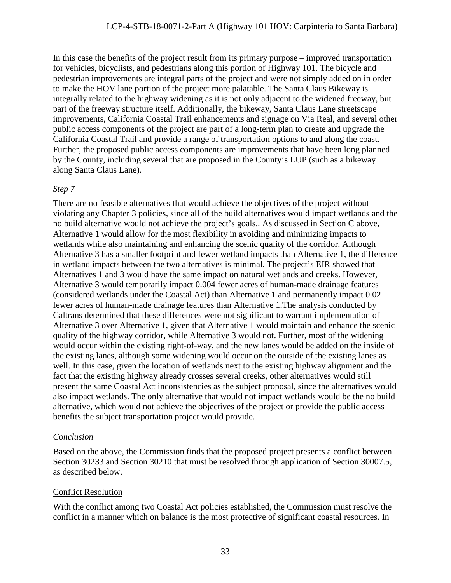In this case the benefits of the project result from its primary purpose – improved transportation for vehicles, bicyclists, and pedestrians along this portion of Highway 101. The bicycle and pedestrian improvements are integral parts of the project and were not simply added on in order to make the HOV lane portion of the project more palatable. The Santa Claus Bikeway is integrally related to the highway widening as it is not only adjacent to the widened freeway, but part of the freeway structure itself. Additionally, the bikeway, Santa Claus Lane streetscape improvements, California Coastal Trail enhancements and signage on Via Real, and several other public access components of the project are part of a long-term plan to create and upgrade the California Coastal Trail and provide a range of transportation options to and along the coast. Further, the proposed public access components are improvements that have been long planned by the County, including several that are proposed in the County's LUP (such as a bikeway along Santa Claus Lane).

#### *Step 7*

There are no feasible alternatives that would achieve the objectives of the project without violating any Chapter 3 policies, since all of the build alternatives would impact wetlands and the no build alternative would not achieve the project's goals.. As discussed in Section C above, Alternative 1 would allow for the most flexibility in avoiding and minimizing impacts to wetlands while also maintaining and enhancing the scenic quality of the corridor. Although Alternative 3 has a smaller footprint and fewer wetland impacts than Alternative 1, the difference in wetland impacts between the two alternatives is minimal. The project's EIR showed that Alternatives 1 and 3 would have the same impact on natural wetlands and creeks. However, Alternative 3 would temporarily impact 0.004 fewer acres of human-made drainage features (considered wetlands under the Coastal Act) than Alternative 1 and permanently impact 0.02 fewer acres of human-made drainage features than Alternative 1.The analysis conducted by Caltrans determined that these differences were not significant to warrant implementation of Alternative 3 over Alternative 1, given that Alternative 1 would maintain and enhance the scenic quality of the highway corridor, while Alternative 3 would not. Further, most of the widening would occur within the existing right-of-way, and the new lanes would be added on the inside of the existing lanes, although some widening would occur on the outside of the existing lanes as well. In this case, given the location of wetlands next to the existing highway alignment and the fact that the existing highway already crosses several creeks, other alternatives would still present the same Coastal Act inconsistencies as the subject proposal, since the alternatives would also impact wetlands. The only alternative that would not impact wetlands would be the no build alternative, which would not achieve the objectives of the project or provide the public access benefits the subject transportation project would provide.

# *Conclusion*

Based on the above, the Commission finds that the proposed project presents a conflict between Section 30233 and Section 30210 that must be resolved through application of Section 30007.5, as described below.

# Conflict Resolution

With the conflict among two Coastal Act policies established, the Commission must resolve the conflict in a manner which on balance is the most protective of significant coastal resources. In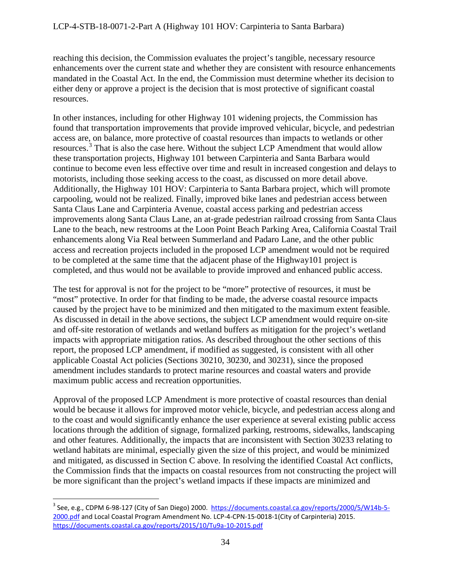reaching this decision, the Commission evaluates the project's tangible, necessary resource enhancements over the current state and whether they are consistent with resource enhancements mandated in the Coastal Act. In the end, the Commission must determine whether its decision to either deny or approve a project is the decision that is most protective of significant coastal resources.

In other instances, including for other Highway 101 widening projects, the Commission has found that transportation improvements that provide improved vehicular, bicycle, and pedestrian access are, on balance, more protective of coastal resources than impacts to wetlands or other resources.<sup>[3](#page-33-0)</sup> That is also the case here. Without the subject LCP Amendment that would allow these transportation projects, Highway 101 between Carpinteria and Santa Barbara would continue to become even less effective over time and result in increased congestion and delays to motorists, including those seeking access to the coast, as discussed on more detail above. Additionally, the Highway 101 HOV: Carpinteria to Santa Barbara project, which will promote carpooling, would not be realized. Finally, improved bike lanes and pedestrian access between Santa Claus Lane and Carpinteria Avenue, coastal access parking and pedestrian access improvements along Santa Claus Lane, an at-grade pedestrian railroad crossing from Santa Claus Lane to the beach, new restrooms at the Loon Point Beach Parking Area, California Coastal Trail enhancements along Via Real between Summerland and Padaro Lane, and the other public access and recreation projects included in the proposed LCP amendment would not be required to be completed at the same time that the adjacent phase of the Highway101 project is completed, and thus would not be available to provide improved and enhanced public access.

The test for approval is not for the project to be "more" protective of resources, it must be "most" protective. In order for that finding to be made, the adverse coastal resource impacts caused by the project have to be minimized and then mitigated to the maximum extent feasible. As discussed in detail in the above sections, the subject LCP amendment would require on-site and off-site restoration of wetlands and wetland buffers as mitigation for the project's wetland impacts with appropriate mitigation ratios. As described throughout the other sections of this report, the proposed LCP amendment, if modified as suggested, is consistent with all other applicable Coastal Act policies (Sections 30210, 30230, and 30231), since the proposed amendment includes standards to protect marine resources and coastal waters and provide maximum public access and recreation opportunities.

Approval of the proposed LCP Amendment is more protective of coastal resources than denial would be because it allows for improved motor vehicle, bicycle, and pedestrian access along and to the coast and would significantly enhance the user experience at several existing public access locations through the addition of signage, formalized parking, restrooms, sidewalks, landscaping and other features. Additionally, the impacts that are inconsistent with Section 30233 relating to wetland habitats are minimal, especially given the size of this project, and would be minimized and mitigated, as discussed in Section C above. In resolving the identified Coastal Act conflicts, the Commission finds that the impacts on coastal resources from not constructing the project will be more significant than the project's wetland impacts if these impacts are minimized and

<span id="page-33-0"></span><sup>&</sup>lt;sup>3</sup> See, e.g., CDPM 6-98-127 (City of San Diego) 2000. [https://documents.coastal.ca.gov/reports/2000/5/W14b-5-](https://documents.coastal.ca.gov/reports/2000/5/W14b-5-2000.pdf) [2000.pdf](https://documents.coastal.ca.gov/reports/2000/5/W14b-5-2000.pdf) and Local Coastal Program Amendment No. LCP-4-CPN-15-0018-1(City of Carpinteria) 2015. <https://documents.coastal.ca.gov/reports/2015/10/Tu9a-10-2015.pdf>